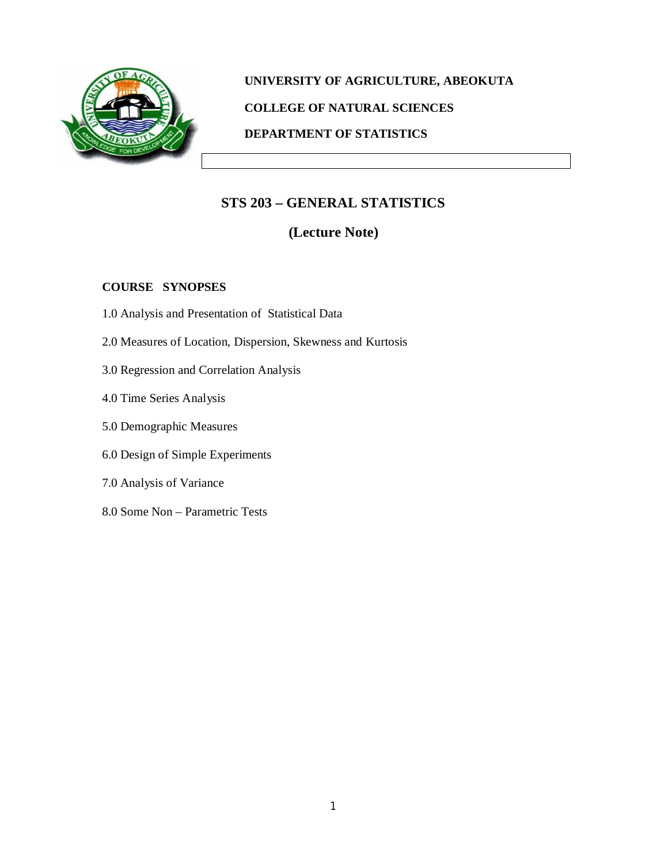

# **UNIVERSITY OF AGRICULTURE, ABEOKUTA COLLEGE OF NATURAL SCIENCES DEPARTMENT OF STATISTICS**

## **STS 203 – GENERAL STATISTICS**

## **(Lecture Note)**

### **COURSE SYNOPSES**

- 1.0 Analysis and Presentation of Statistical Data
- 2.0 Measures of Location, Dispersion, Skewness and Kurtosis
- 3.0 Regression and Correlation Analysis
- 4.0 Time Series Analysis
- 5.0 Demographic Measures
- 6.0 Design of Simple Experiments
- 7.0 Analysis of Variance
- 8.0 Some Non Parametric Tests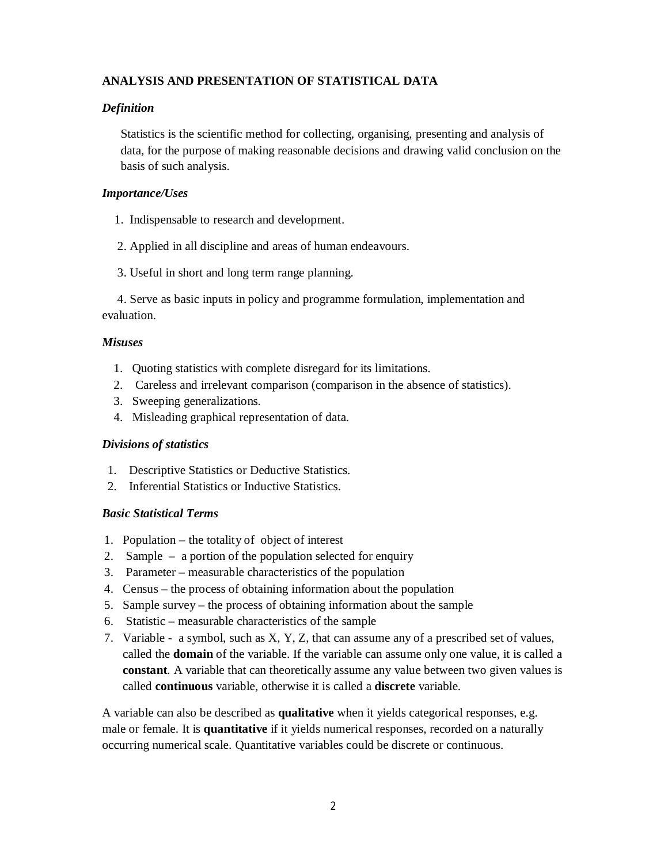## **ANALYSIS AND PRESENTATION OF STATISTICAL DATA**

#### *Definition*

Statistics is the scientific method for collecting, organising, presenting and analysis of data, for the purpose of making reasonable decisions and drawing valid conclusion on the basis of such analysis.

#### *Importance/Uses*

- 1. Indispensable to research and development.
- 2. Applied in all discipline and areas of human endeavours.
- 3. Useful in short and long term range planning.

 4. Serve as basic inputs in policy and programme formulation, implementation and evaluation.

#### *Misuses*

- 1. Quoting statistics with complete disregard for its limitations.
- 2. Careless and irrelevant comparison (comparison in the absence of statistics).
- 3. Sweeping generalizations.
- 4. Misleading graphical representation of data.

#### *Divisions of statistics*

- 1. Descriptive Statistics or Deductive Statistics.
- 2. Inferential Statistics or Inductive Statistics.

#### *Basic Statistical Terms*

- 1. Population the totality of object of interest
- 2. Sample a portion of the population selected for enquiry
- 3. Parameter measurable characteristics of the population
- 4. Census the process of obtaining information about the population
- 5. Sample survey the process of obtaining information about the sample
- 6. Statistic measurable characteristics of the sample
- 7. Variable a symbol, such as X, Y, Z, that can assume any of a prescribed set of values, called the **domain** of the variable. If the variable can assume only one value, it is called a **constant**. A variable that can theoretically assume any value between two given values is called **continuous** variable, otherwise it is called a **discrete** variable.

A variable can also be described as **qualitative** when it yields categorical responses, e.g. male or female. It is **quantitative** if it yields numerical responses, recorded on a naturally occurring numerical scale. Quantitative variables could be discrete or continuous.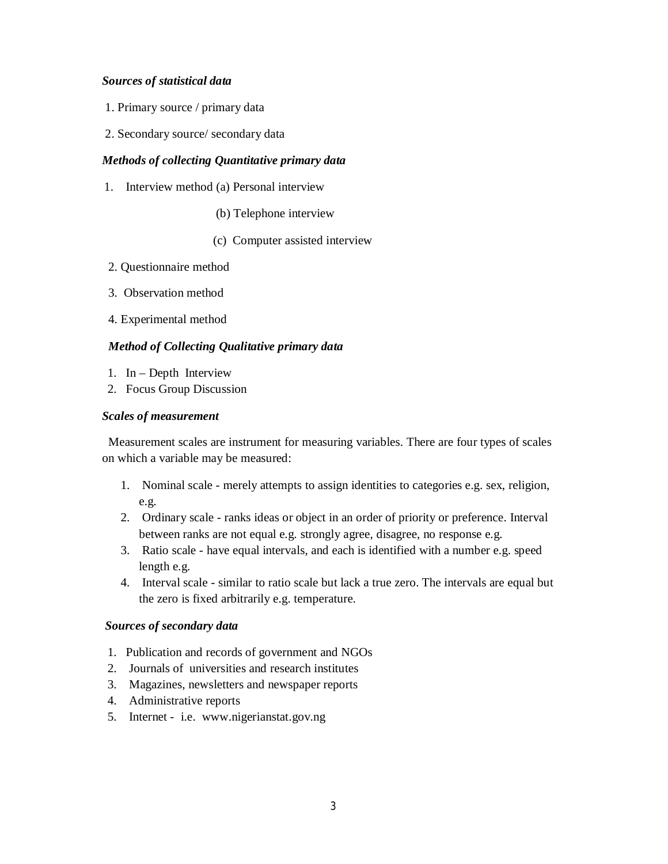#### *Sources of statistical data*

- 1. Primary source / primary data
- 2. Secondary source/ secondary data

#### *Methods of collecting Quantitative primary data*

- 1. Interview method (a) Personal interview
	- (b) Telephone interview
	- (c) Computer assisted interview
- 2. Questionnaire method
- 3. Observation method
- 4. Experimental method

#### *Method of Collecting Qualitative primary data*

- 1. In Depth Interview
- 2. Focus Group Discussion

#### *Scales of measurement*

 Measurement scales are instrument for measuring variables. There are four types of scales on which a variable may be measured:

- 1. Nominal scale merely attempts to assign identities to categories e.g. sex, religion, e.g.
- 2. Ordinary scale ranks ideas or object in an order of priority or preference. Interval between ranks are not equal e.g. strongly agree, disagree, no response e.g.
- 3. Ratio scale have equal intervals, and each is identified with a number e.g. speed length e.g.
- 4. Interval scale similar to ratio scale but lack a true zero. The intervals are equal but the zero is fixed arbitrarily e.g. temperature.

#### *Sources of secondary data*

- 1. Publication and records of government and NGOs
- 2. Journals of universities and research institutes
- 3. Magazines, newsletters and newspaper reports
- 4. Administrative reports
- 5. Internet i.e. www.nigerianstat.gov.ng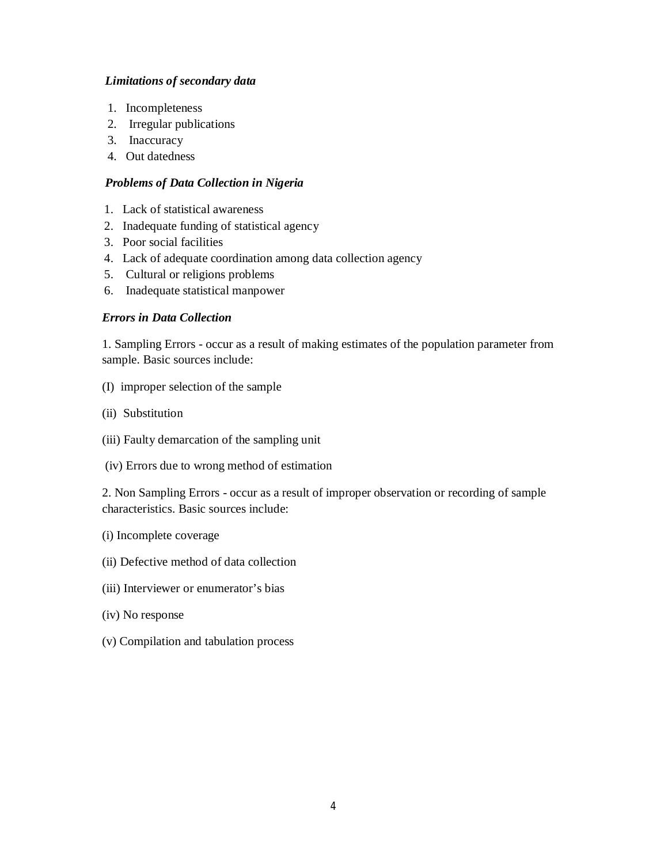#### *Limitations of secondary data*

- 1. Incompleteness
- 2. Irregular publications
- 3. Inaccuracy
- 4. Out datedness

#### *Problems of Data Collection in Nigeria*

- 1. Lack of statistical awareness
- 2. Inadequate funding of statistical agency
- 3. Poor social facilities
- 4. Lack of adequate coordination among data collection agency
- 5. Cultural or religions problems
- 6. Inadequate statistical manpower

#### *Errors in Data Collection*

1. Sampling Errors - occur as a result of making estimates of the population parameter from sample. Basic sources include:

- (I) improper selection of the sample
- (ii) Substitution
- (iii) Faulty demarcation of the sampling unit
- (iv) Errors due to wrong method of estimation

2. Non Sampling Errors - occur as a result of improper observation or recording of sample characteristics. Basic sources include:

- (i) Incomplete coverage
- (ii) Defective method of data collection
- (iii) Interviewer or enumerator's bias
- (iv) No response
- (v) Compilation and tabulation process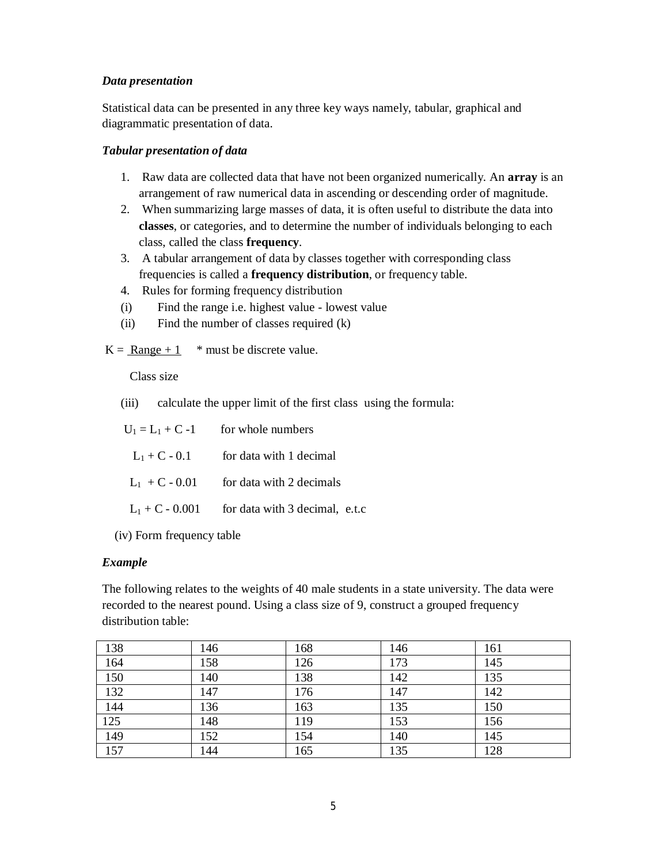#### *Data presentation*

Statistical data can be presented in any three key ways namely, tabular, graphical and diagrammatic presentation of data.

#### *Tabular presentation of data*

- 1. Raw data are collected data that have not been organized numerically. An **array** is an arrangement of raw numerical data in ascending or descending order of magnitude.
- 2. When summarizing large masses of data, it is often useful to distribute the data into **classes**, or categories, and to determine the number of individuals belonging to each class, called the class **frequency**.
- 3. A tabular arrangement of data by classes together with corresponding class frequencies is called a **frequency distribution**, or frequency table.
- 4. Rules for forming frequency distribution
- (i) Find the range i.e. highest value lowest value
- (ii) Find the number of classes required (k)

 $K = \text{Range} + 1$  \* must be discrete value.

Class size

(iii) calculate the upper limit of the first class using the formula:

|                 | $U_1 = L_1 + C -1$ for whole numbers             |
|-----------------|--------------------------------------------------|
| $L_1 + C - 0.1$ | for data with 1 decimal                          |
|                 | $L_1$ + C - 0.01 for data with 2 decimals        |
|                 | $L_1 + C - 0.001$ for data with 3 decimal, e.t.c |

(iv) Form frequency table

#### *Example*

The following relates to the weights of 40 male students in a state university. The data were recorded to the nearest pound. Using a class size of 9, construct a grouped frequency distribution table:

| 138              | 146 | 168 | 146 | 161 |
|------------------|-----|-----|-----|-----|
| 164              | 158 | 126 | 173 | 145 |
| $\overline{150}$ | 140 | 138 | 142 | 135 |
| 132              | 147 | 176 | 147 | 142 |
| 144              | 136 | 163 | 135 | 150 |
| $\overline{125}$ | 148 | 119 | 153 | 156 |
| 149              | 152 | 154 | 140 | 145 |
| 157              | 144 | 165 | 135 | 128 |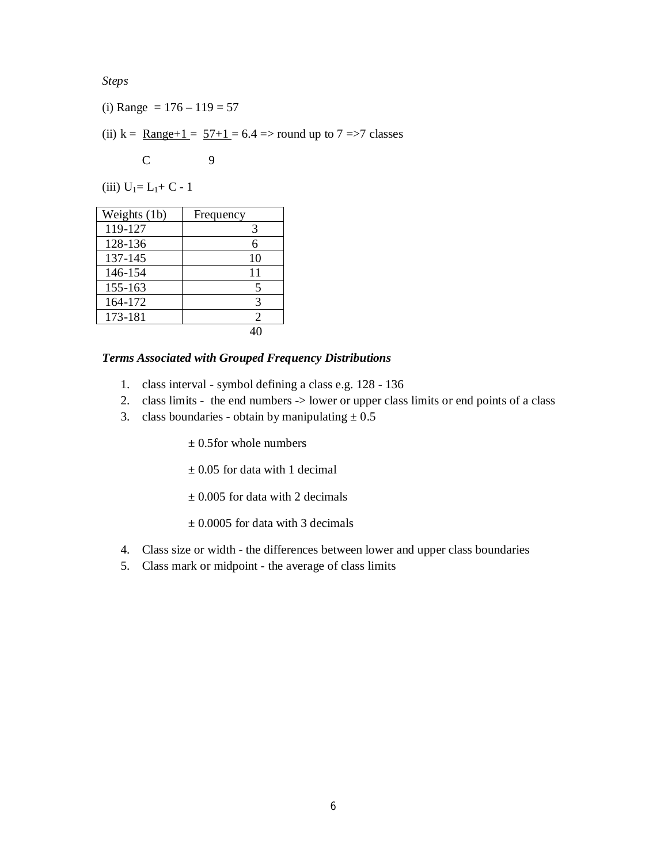*Steps*

- (i) Range =  $176 119 = 57$
- (ii)  $k = \text{Range} + 1 = 57 + 1 = 6.4$  => round up to 7 =>7 classes

$$
C \qquad \qquad 9
$$

(iii)  $U_1 = L_1 + C - 1$ 

| Weights (1b) | Frequency      |
|--------------|----------------|
| 119-127      | 3              |
| 128-136      | 6              |
| 137-145      | 10             |
| 146-154      | 11             |
| 155-163      | 5              |
| 164-172      | 3              |
| 173-181      | $\mathfrak{D}$ |
|              |                |

#### *Terms Associated with Grouped Frequency Distributions*

- 1. class interval symbol defining a class e.g. 128 136
- 2. class limits the end numbers -> lower or upper class limits or end points of a class
- 3. class boundaries obtain by manipulating  $\pm 0.5$

 $\pm$  0.5 for whole numbers

- $\pm$  0.05 for data with 1 decimal
- $\pm$  0.005 for data with 2 decimals
- $\pm$  0.0005 for data with 3 decimals
- 4. Class size or width the differences between lower and upper class boundaries
- 5. Class mark or midpoint the average of class limits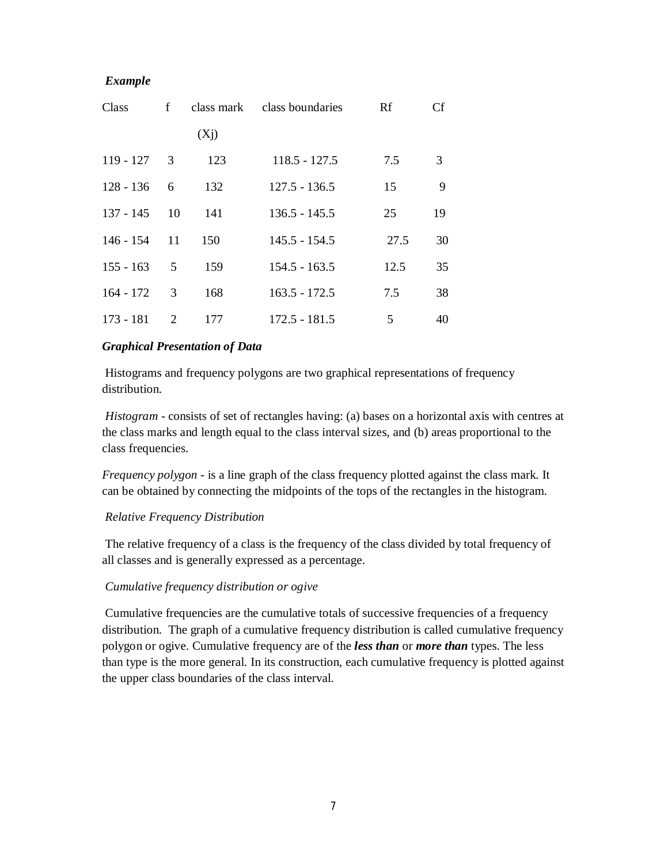| Class       | f  | class mark        | class boundaries | Rf   | Cf |
|-------------|----|-------------------|------------------|------|----|
|             |    | (X <sub>j</sub> ) |                  |      |    |
| 119 - 127   | 3  | 123               | $118.5 - 127.5$  | 7.5  | 3  |
| $128 - 136$ | 6  | 132               | $127.5 - 136.5$  | 15   | 9  |
| 137 - 145   | 10 | 141               | $136.5 - 145.5$  | 25   | 19 |
| $146 - 154$ | 11 | 150               | $145.5 - 154.5$  | 27.5 | 30 |
| $155 - 163$ | 5  | 159               | $154.5 - 163.5$  | 12.5 | 35 |
| $164 - 172$ | 3  | 168               | $163.5 - 172.5$  | 7.5  | 38 |
| 173 - 181   | 2  | 177               | 172.5 - 181.5    | 5    | 40 |

#### *Graphical Presentation of Data*

Histograms and frequency polygons are two graphical representations of frequency distribution.

*Histogram* - consists of set of rectangles having: (a) bases on a horizontal axis with centres at the class marks and length equal to the class interval sizes, and (b) areas proportional to the class frequencies.

*Frequency polygon* - is a line graph of the class frequency plotted against the class mark. It can be obtained by connecting the midpoints of the tops of the rectangles in the histogram.

#### *Relative Frequency Distribution*

The relative frequency of a class is the frequency of the class divided by total frequency of all classes and is generally expressed as a percentage.

#### *Cumulative frequency distribution or ogive*

Cumulative frequencies are the cumulative totals of successive frequencies of a frequency distribution. The graph of a cumulative frequency distribution is called cumulative frequency polygon or ogive. Cumulative frequency are of the *less than* or *more than* types. The less than type is the more general. In its construction, each cumulative frequency is plotted against the upper class boundaries of the class interval.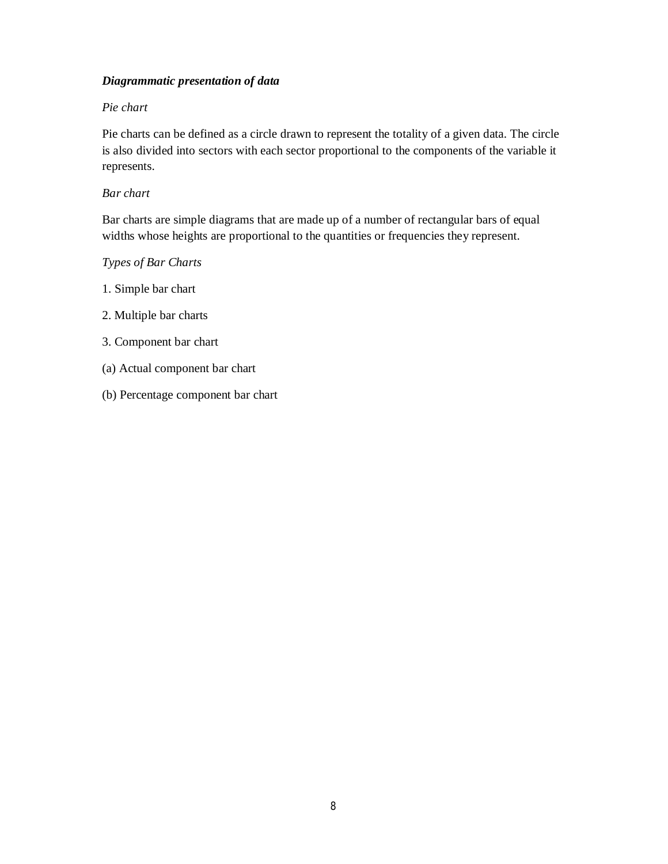### *Diagrammatic presentation of data*

#### *Pie chart*

Pie charts can be defined as a circle drawn to represent the totality of a given data. The circle is also divided into sectors with each sector proportional to the components of the variable it represents.

#### *Bar chart*

Bar charts are simple diagrams that are made up of a number of rectangular bars of equal widths whose heights are proportional to the quantities or frequencies they represent.

#### *Types of Bar Charts*

- 1. Simple bar chart
- 2. Multiple bar charts
- 3. Component bar chart
- (a) Actual component bar chart
- (b) Percentage component bar chart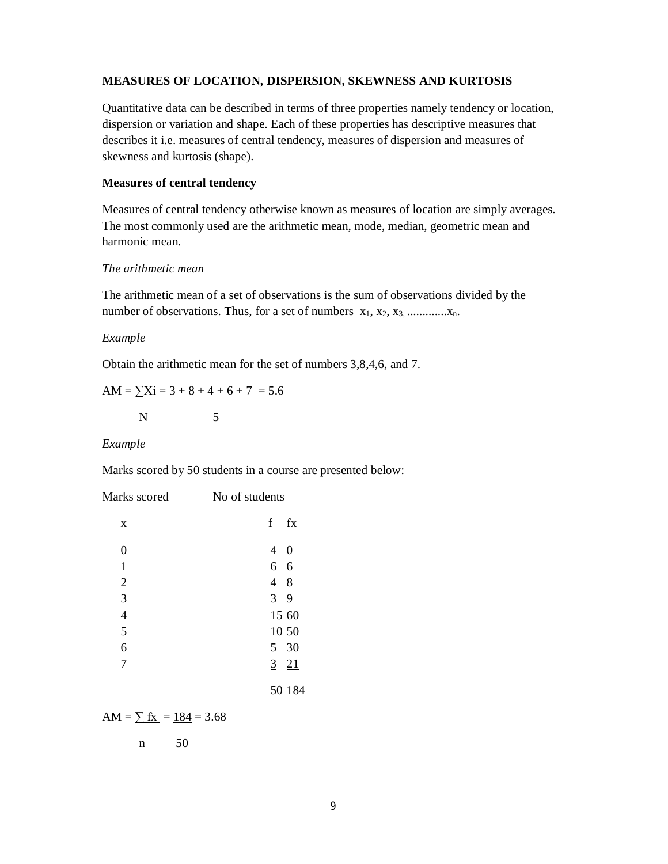#### **MEASURES OF LOCATION, DISPERSION, SKEWNESS AND KURTOSIS**

Quantitative data can be described in terms of three properties namely tendency or location, dispersion or variation and shape. Each of these properties has descriptive measures that describes it i.e. measures of central tendency, measures of dispersion and measures of skewness and kurtosis (shape).

#### **Measures of central tendency**

Measures of central tendency otherwise known as measures of location are simply averages. The most commonly used are the arithmetic mean, mode, median, geometric mean and harmonic mean.

#### *The arithmetic mean*

The arithmetic mean of a set of observations is the sum of observations divided by the number of observations. Thus, for a set of numbers  $x_1, x_2, x_3, \dots, x_n$ .

#### *Example*

Obtain the arithmetic mean for the set of numbers 3,8,4,6, and 7.

AM =  $\Sigma$ X<sub>1</sub> = 3 + 8 + 4 + 6 + 7 = 5.6 N 5

#### *Example*

Marks scored by 50 students in a course are presented below:

| Marks scored<br>No of students |                |          |
|--------------------------------|----------------|----------|
| X                              | $\mathbf f$    | fx       |
| $\overline{0}$                 | 4              | $\theta$ |
| $\mathbf{1}$                   | 6              | 6        |
| $\overline{2}$                 | 48             |          |
| 3                              | 3 <sup>7</sup> | 9        |
| $\overline{4}$                 | 15 60          |          |
| 5                              | 10 50          |          |
| 6                              | 5 30           |          |
| 7                              | $3 \t 21$      |          |
|                                |                | 50 184   |

AM =  $\Sigma$  fx = 184 = 3.68

n 50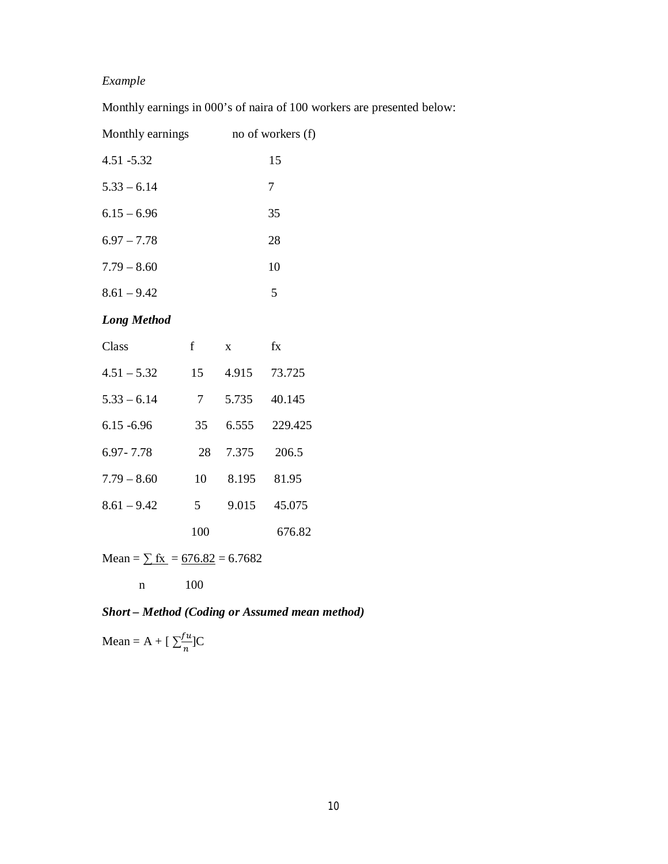Monthly earnings in 000's of naira of 100 workers are presented below:

| Monthly earnings   |            |                 | no of workers (f) |
|--------------------|------------|-----------------|-------------------|
| 4.51 -5.32         |            |                 | 15                |
| $5.33 - 6.14$      |            |                 | 7                 |
| $6.15 - 6.96$      |            |                 | 35                |
| $6.97 - 7.78$      |            |                 | 28                |
| $7.79 - 8.60$      |            |                 | 10                |
| $8.61 - 9.42$      |            |                 | 5                 |
| <b>Long Method</b> |            |                 |                   |
| Class              | f          | $\mathbf{X}$    | fx                |
| $4.51 - 5.32$      |            | 15 4.915 73.725 |                   |
| $5.33 - 6.14$      | $7\degree$ |                 | 5.735 40.145      |
|                    |            |                 |                   |

| Class         | f   | $\mathbf{x}$ | fx      |
|---------------|-----|--------------|---------|
| $4.51 - 5.32$ | 15  | 4.915        | 73.725  |
| $5.33 - 6.14$ | 7   | 5.735        | 40.145  |
| $6.15 - 6.96$ | 35  | 6.555        | 229.425 |
| 6.97 - 7.78   | 28  | 7.375        | 206.5   |
| $7.79 - 8.60$ | 10  | 8.195        | 81.95   |
| $8.61 - 9.42$ | 5   | 9.015        | 45.075  |
|               | 100 |              | 676.82  |

Mean =  $\Sigma$  fx = 676.82 = 6.7682

$$
n\hskip 1.6in 100
$$

## *Short – Method (Coding or Assumed mean method)*

Mean = A + [ $\sum_{n=1}^{\infty}$  $\frac{u}{n}$ ]C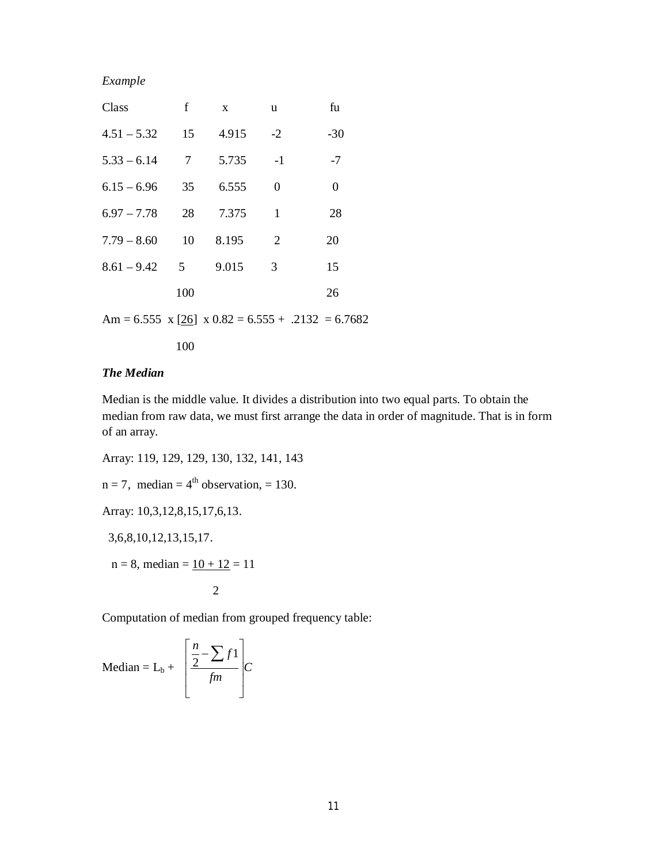| Class                  | f              | $\mathbf{X}$ | <u>u</u>       | fu                                                  |
|------------------------|----------------|--------------|----------------|-----------------------------------------------------|
| $4.51 - 5.32$ 15 4.915 |                |              | $-2$           | $-30$                                               |
| $5.33 - 6.14$          | $\overline{7}$ | 5.735        | $-1$           | $-7$                                                |
| $6.15 - 6.96$          | 35             | 6.555        | $\theta$       | $\overline{0}$                                      |
| $6.97 - 7.78$          | 28             | 7.375        | 1              | 28                                                  |
| $7.79 - 8.60$          | - 10           | 8.195        | 2              | 20                                                  |
| $8.61 - 9.42$ 5        |                | 9.015        | $\overline{3}$ | 15                                                  |
|                        | 100            |              |                | 26                                                  |
|                        |                |              |                | Am = 6.555 x [26] x $0.82 = 6.555 + .2132 = 6.7682$ |

100

#### *The Median*

Median is the middle value. It divides a distribution into two equal parts. To obtain the median from raw data, we must first arrange the data in order of magnitude. That is in form of an array.

Array: 119, 129, 129, 130, 132, 141, 143

 $n = 7$ , median = 4<sup>th</sup> observation, = 130.

Array: 10,3,12,8,15,17,6,13.

3,6,8,10,12,13,15,17.

 $n = 8$ , median =  $10 + 12 = 11$ 

$$
-2\\
$$

Computation of median from grouped frequency table:

Median = L<sub>b</sub> + 
$$
\left[\frac{\frac{n}{2} - \sum f}{\text{fm}}\right]C
$$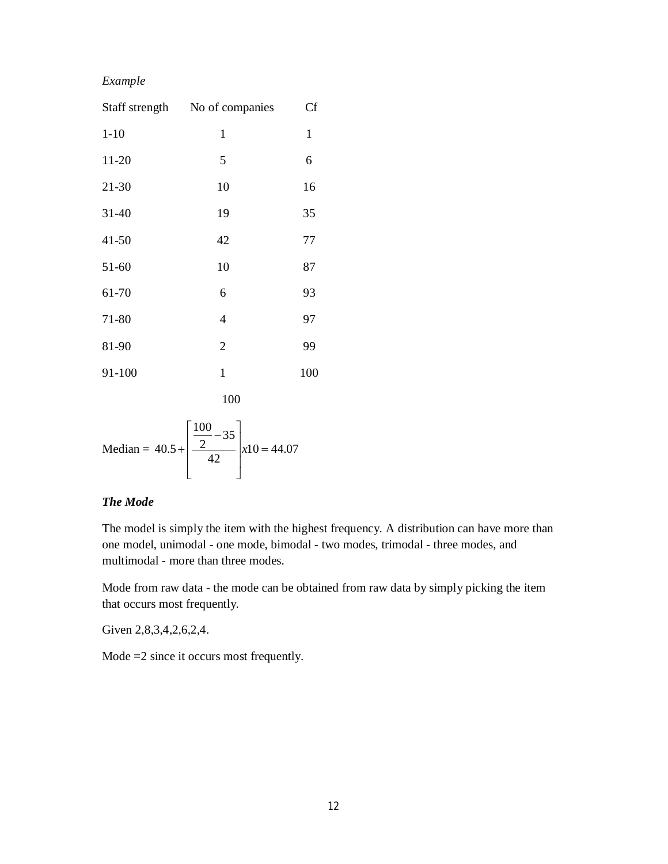| Staff strength | No of companies | <b>Cf</b> |
|----------------|-----------------|-----------|
| $1 - 10$       | 1               | 1         |
| 11-20          | 5               | 6         |
| 21-30          | 10              | 16        |
| $31 - 40$      | 19              | 35        |
| $41 - 50$      | 42              | 77        |
| 51-60          | 10              | 87        |
| 61-70          | 6               | 93        |
| 71-80          | $\overline{4}$  | 97        |
| 81-90          | 2               | 99        |
| 91-100         | $\mathbf{1}$    | 100       |
|                |                 |           |

$$
\begin{array}{c}\n100 \\
\hline\n\end{array}
$$

Median = 
$$
40.5 + \left[ \frac{\frac{100}{2} - 35}{42} \right] x10 = 44.07
$$

#### *The Mode*

The model is simply the item with the highest frequency. A distribution can have more than one model, unimodal - one mode, bimodal - two modes, trimodal - three modes, and multimodal - more than three modes.

Mode from raw data - the mode can be obtained from raw data by simply picking the item that occurs most frequently.

Given 2,8,3,4,2,6,2,4.

Mode =2 since it occurs most frequently.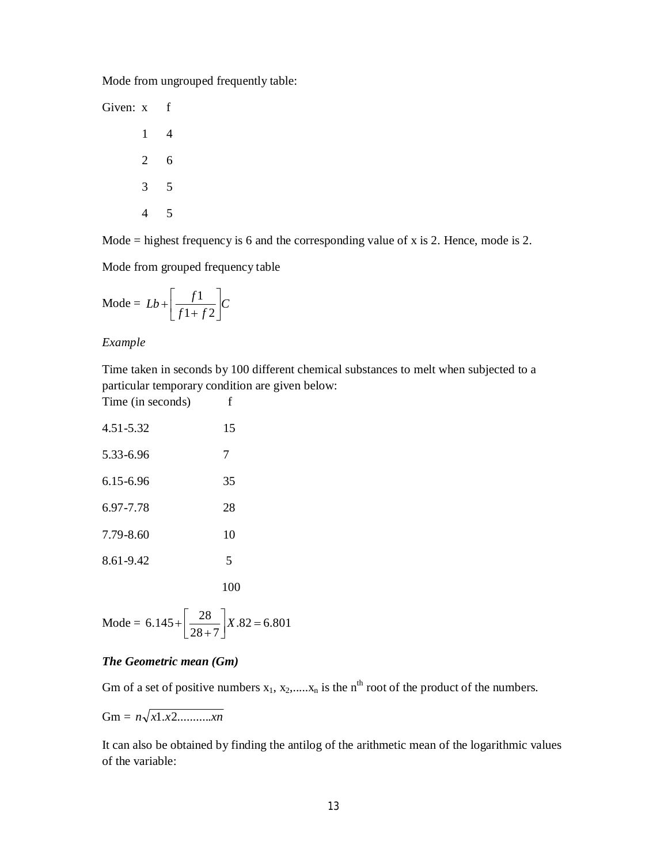Mode from ungrouped frequently table:

Mode  $=$  highest frequency is 6 and the corresponding value of x is 2. Hence, mode is 2.

Mode from grouped frequency table

$$
Mode = Lb + \left[\frac{f1}{f1 + f2}\right]C
$$

*Example* 

Time taken in seconds by 100 different chemical substances to melt when subjected to a particular temporary condition are given below:

Time (in seconds) f

| 4.51-5.32 | 15  |
|-----------|-----|
| 5.33-6.96 | 7   |
| 6.15-6.96 | 35  |
| 6.97-7.78 | 28  |
| 7.79-8.60 | 10  |
| 8.61-9.42 | 5   |
|           | 100 |

Mode = 
$$
6.145 + \left[\frac{28}{28 + 7}\right]X.82 = 6.801
$$

#### *The Geometric mean (Gm)*

Gm of a set of positive numbers  $x_1, x_2, \ldots, x_n$  is the n<sup>th</sup> root of the product of the numbers.

 $Gm = n\sqrt{x1.x2............xn}$ 

It can also be obtained by finding the antilog of the arithmetic mean of the logarithmic values of the variable: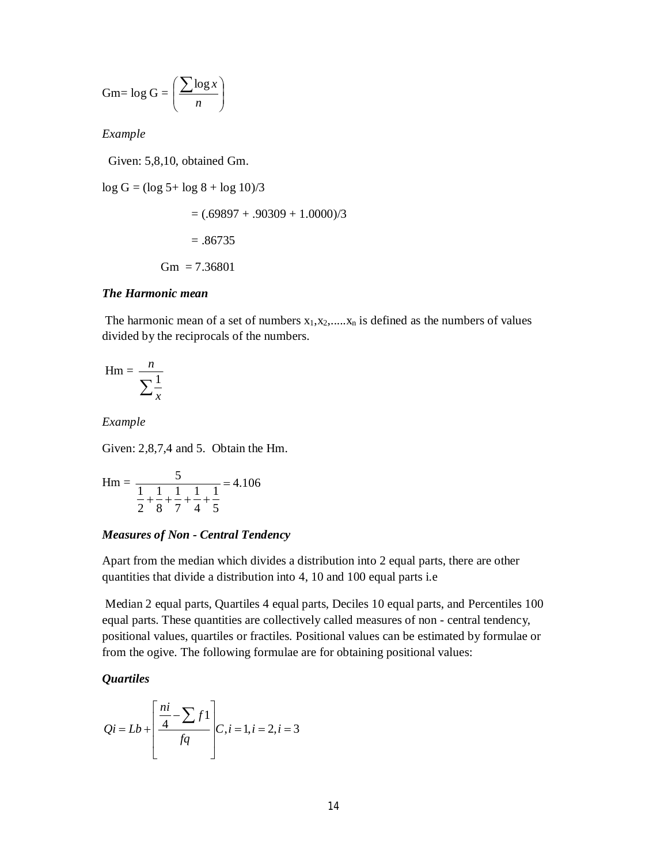Gm= 
$$
\log G = \left(\frac{\sum \log x}{n}\right)
$$

Given: 5,8,10, obtained Gm.

 $log G = (log 5 + log 8 + log 10)/3$  $= (.69897 + .90309 + 1.0000)/3$ 

 $=.86735$ 

$$
Gm = 7.36801
$$

#### *The Harmonic mean*

The harmonic mean of a set of numbers  $x_1, x_2, \ldots, x_n$  is defined as the numbers of values divided by the reciprocals of the numbers.

$$
Hm = \frac{n}{\sum_{x} \frac{1}{x}}
$$

*Example* 

Given: 2,8,7,4 and 5. Obtain the Hm.

$$
Hm = \frac{5}{\frac{1}{2} + \frac{1}{8} + \frac{1}{7} + \frac{1}{4} + \frac{1}{5}} = 4.106
$$

#### *Measures of Non - Central Tendency*

Apart from the median which divides a distribution into 2 equal parts, there are other quantities that divide a distribution into 4, 10 and 100 equal parts i.e

Median 2 equal parts, Quartiles 4 equal parts, Deciles 10 equal parts, and Percentiles 100 equal parts. These quantities are collectively called measures of non - central tendency, positional values, quartiles or fractiles. Positional values can be estimated by formulae or from the ogive. The following formulae are for obtaining positional values:

#### *Quartiles*

$$
Qi = Lb + \left[\frac{\frac{ni}{4} - \sum f}{fq}\right]C, i = 1, i = 2, i = 3
$$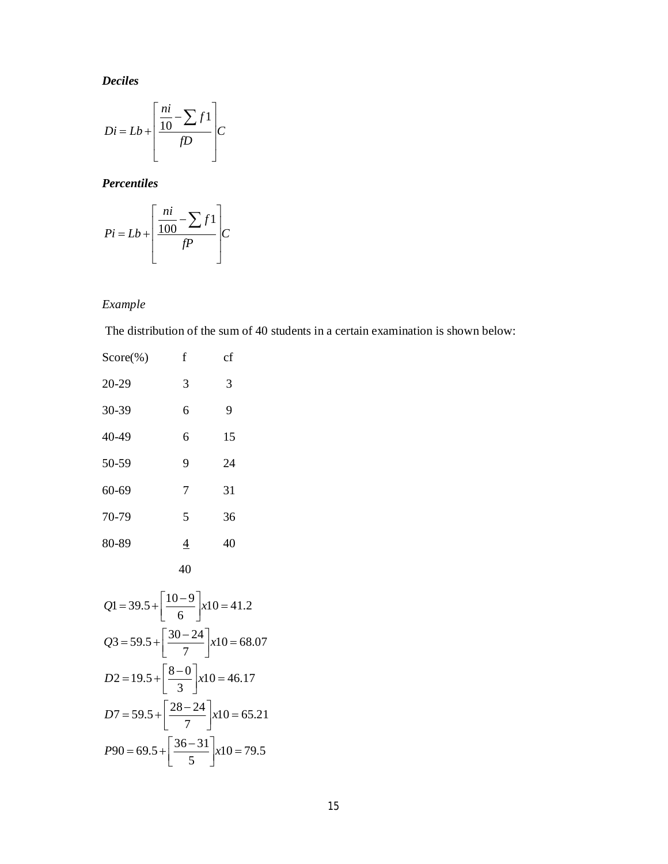*Deciles*

$$
Di = Lb + \left[\frac{\frac{ni}{10} - \sum f}{fD}\right]C
$$

*Percentiles*

$$
Pi = Lb + \left[\frac{\frac{ni}{100} - \sum f}{\frac{fp}{}}\right]C
$$

## *Example*

The distribution of the sum of 40 students in a certain examination is shown below:

| $Score(\%)$ | f              | cf |
|-------------|----------------|----|
| 20-29       | 3              | 3  |
| 30-39       | 6              | 9  |
| 40-49       | 6              | 15 |
| 50-59       | 9              | 24 |
| 60-69       | 7              | 31 |
| 70-79       | 5              | 36 |
| 80-89       | $\overline{4}$ | 40 |
|             | 40             |    |

$$
Q1 = 39.5 + \left[\frac{10 - 9}{6}\right] x10 = 41.2
$$
  
\n
$$
Q3 = 59.5 + \left[\frac{30 - 24}{7}\right] x10 = 68.07
$$
  
\n
$$
D2 = 19.5 + \left[\frac{8 - 0}{3}\right] x10 = 46.17
$$
  
\n
$$
D7 = 59.5 + \left[\frac{28 - 24}{7}\right] x10 = 65.21
$$
  
\n
$$
P90 = 69.5 + \left[\frac{36 - 31}{5}\right] x10 = 79.5
$$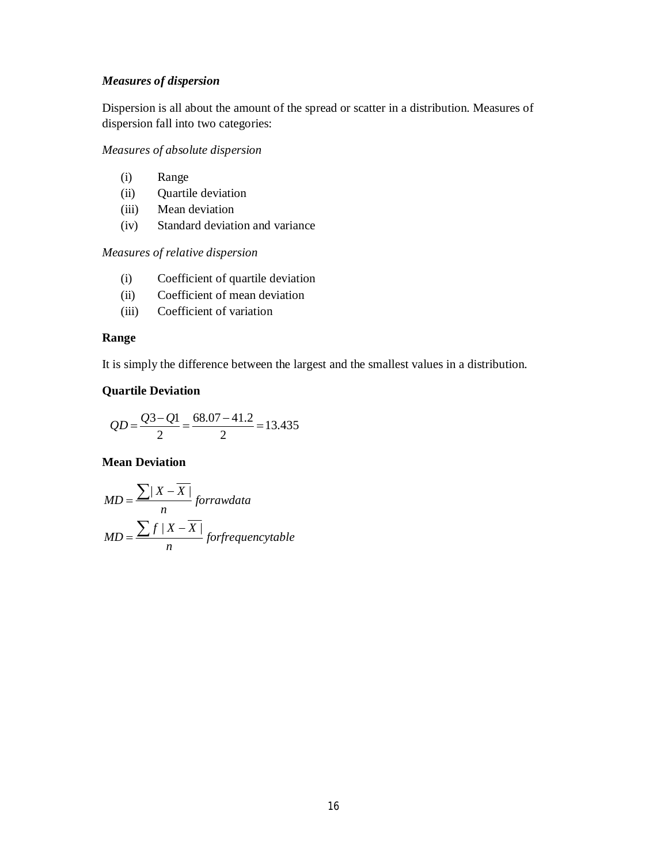#### *Measures of dispersion*

Dispersion is all about the amount of the spread or scatter in a distribution. Measures of dispersion fall into two categories:

*Measures of absolute dispersion*

- (i) Range
- (ii) Quartile deviation
- (iii) Mean deviation
- (iv) Standard deviation and variance

*Measures of relative dispersion*

- (i) Coefficient of quartile deviation
- (ii) Coefficient of mean deviation
- (iii) Coefficient of variation

#### **Range**

It is simply the difference between the largest and the smallest values in a distribution.

#### **Quartile Deviation**

$$
QD = \frac{Q3 - Q1}{2} = \frac{68.07 - 41.2}{2} = 13.435
$$

#### **Mean Deviation**

$$
MD = \frac{\sum |X - \overline{X}|}{n}
$$
 forrawdata  

$$
MD = \frac{\sum f |X - \overline{X}|}{n}
$$
 forfrequencies that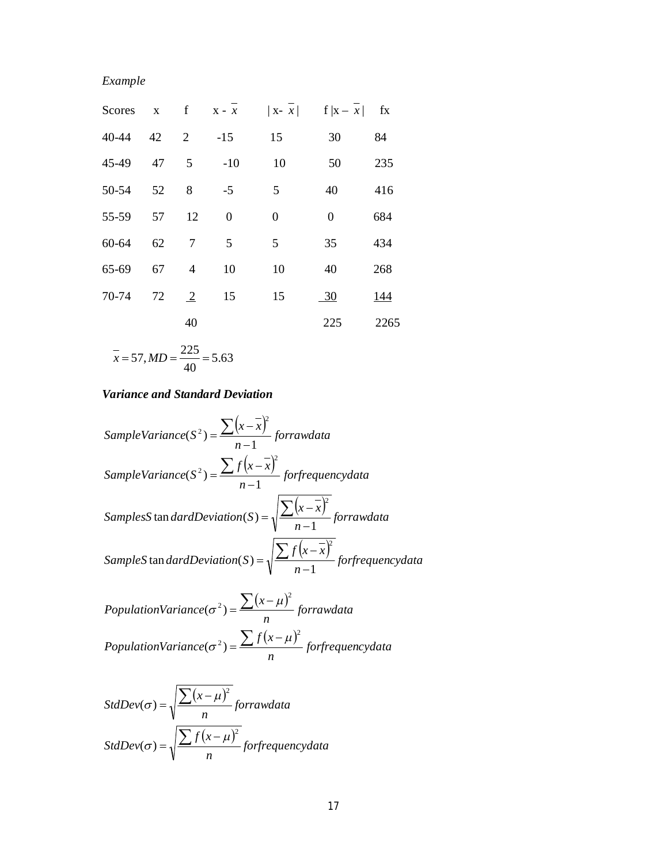| Scores |    |                |                |                  | $X$ f $X-x$   $X-x$   $f  X-x $ fx |            |
|--------|----|----------------|----------------|------------------|------------------------------------|------------|
| 40-44  | 42 | 2              | $-15$          | 15               | 30                                 | 84         |
| 45-49  | 47 | 5              | $-10$          | 10               | 50                                 | 235        |
| 50-54  | 52 | 8              | $-5$           | 5                | 40                                 | 416        |
| 55-59  | 57 | 12             | $\overline{0}$ | $\boldsymbol{0}$ | $\boldsymbol{0}$                   | 684        |
| 60-64  | 62 | 7              | 5              | 5                | 35                                 | 434        |
| 65-69  | 67 | $\overline{4}$ | 10             | 10               | 40                                 | 268        |
| 70-74  | 72 | $\overline{2}$ | 15             | 15               | $\frac{30}{2}$                     | <u>144</u> |
|        |    | 40             |                |                  | 225                                | 2265       |
|        |    |                |                |                  |                                    |            |

$$
\overline{x} = 57, MD = \frac{225}{40} = 5.63
$$

## *Variance and Standard Deviation*

 *forfrequencydata n f x x SampleS dardDeviation S forrawdata n x x SamplesS dardDeviation S forfrequencydata n f x x SampleVariance S forrawdata n x x SampleVariance S* 1 tan ( ) 1 tan ( ) 1 ( ) 1 ( ) 2 2 2 2 2 2 

PopulationVariance(
$$
\sigma^2
$$
) =  $\frac{\sum (x - \mu)^2}{n}$  forrawdata  
PopulationVariance( $\sigma^2$ ) =  $\frac{\sum f(x - \mu)^2}{n}$  forfrequencydata

$$
StdDev(\sigma) = \sqrt{\frac{\sum (x - \mu)^2}{n}} for raw data
$$

$$
StdDev(\sigma) = \sqrt{\frac{\sum f(x - \mu)^2}{n}} for frequency data
$$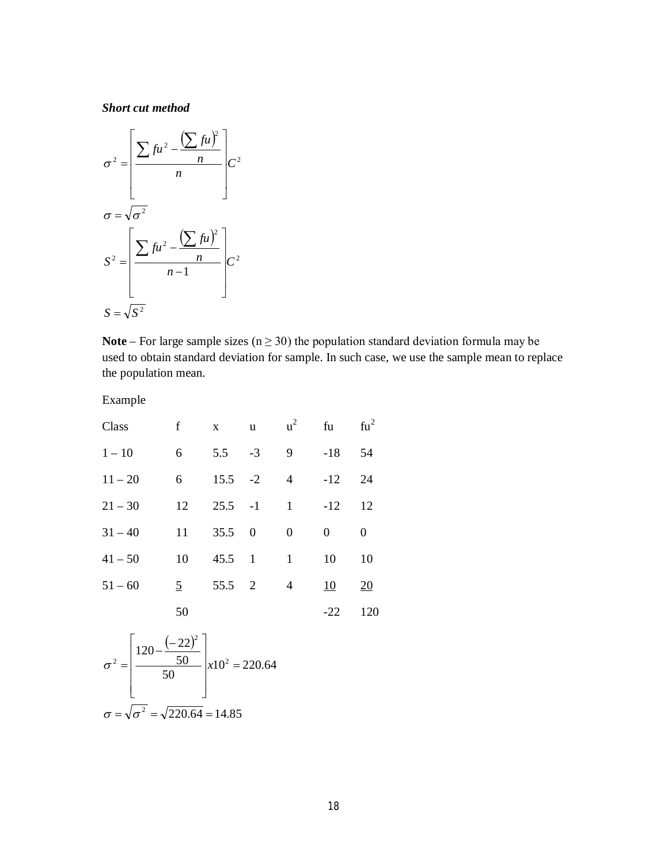*Short cut method*

$$
\sigma^2 = \left[ \frac{\sum fu^2 - \frac{(\sum fu)^2}{n}}{n} \right] C^2
$$

$$
\sigma = \sqrt{\sigma^2}
$$

$$
S^2 = \left[ \frac{\sum fu^2 - \frac{(\sum fu)^2}{n}}{n-1} \right] C^2
$$

$$
S = \sqrt{S^2}
$$

**Note** – For large sample sizes ( $n \ge 30$ ) the population standard deviation formula may be used to obtain standard deviation for sample. In such case, we use the sample mean to replace the population mean.

Example

| Class     | $\mathbf f$    | $\mathbf{X}$   | $\mathbf{u}$ | $u^2$                                                                                                                                                                                                                                                                                                                                                                                                                                                                                                                                                                         | fu        | $fu^2$           |
|-----------|----------------|----------------|--------------|-------------------------------------------------------------------------------------------------------------------------------------------------------------------------------------------------------------------------------------------------------------------------------------------------------------------------------------------------------------------------------------------------------------------------------------------------------------------------------------------------------------------------------------------------------------------------------|-----------|------------------|
| $1 - 10$  | 6              | $5.5 -3$       |              | 9                                                                                                                                                                                                                                                                                                                                                                                                                                                                                                                                                                             | $-18$     | 54               |
| $11 - 20$ | 6              | $15.5 -2$      |              | $\overline{4}$                                                                                                                                                                                                                                                                                                                                                                                                                                                                                                                                                                | $-12$     | 24               |
| $21 - 30$ | 12             | $25.5 - 1$     |              | $\begin{array}{ccc} & 1 \end{array}$                                                                                                                                                                                                                                                                                                                                                                                                                                                                                                                                          | $-12$     | 12               |
| $31 - 40$ | 11             | $35.5 \t 0$    |              | $\mathbf{0}$                                                                                                                                                                                                                                                                                                                                                                                                                                                                                                                                                                  | $\Omega$  | 0                |
| $41 - 50$ | 10             | $45.5 \quad 1$ |              | $\begin{array}{\begin{array}{\small \begin{array}{\small \begin{array}{\small \end{array}}}}\\{\small \end{array}}\\{\small \end{array}}\\{\small \end{array}}{\small \end{array}}{\small \begin{array}{cccc}1\\[-12pt] \end{array}}{\small \begin{array}{cccc}1\\[-12pt] \end{array}}{\small \begin{array}{cccc}1\\[-12pt] \end{array}}{\small \begin{array}{cccc}1\\[-12pt] \end{array}}{\small \begin{array}{cccc}1\\[-12pt] \end{array}}{\small \begin{array}{cccc}1\\[-12pt] \end{array}}{\small \begin{array}{cccc}1\\[-12pt] \end{array}}{\small \begin{array}{cccc}1$ | 10        | 10               |
| $51 - 60$ | $\overline{5}$ | 55.5 2         |              | 4                                                                                                                                                                                                                                                                                                                                                                                                                                                                                                                                                                             | <u>10</u> | $\underline{20}$ |
|           | 50             |                |              |                                                                                                                                                                                                                                                                                                                                                                                                                                                                                                                                                                               | $-22$     | 120              |

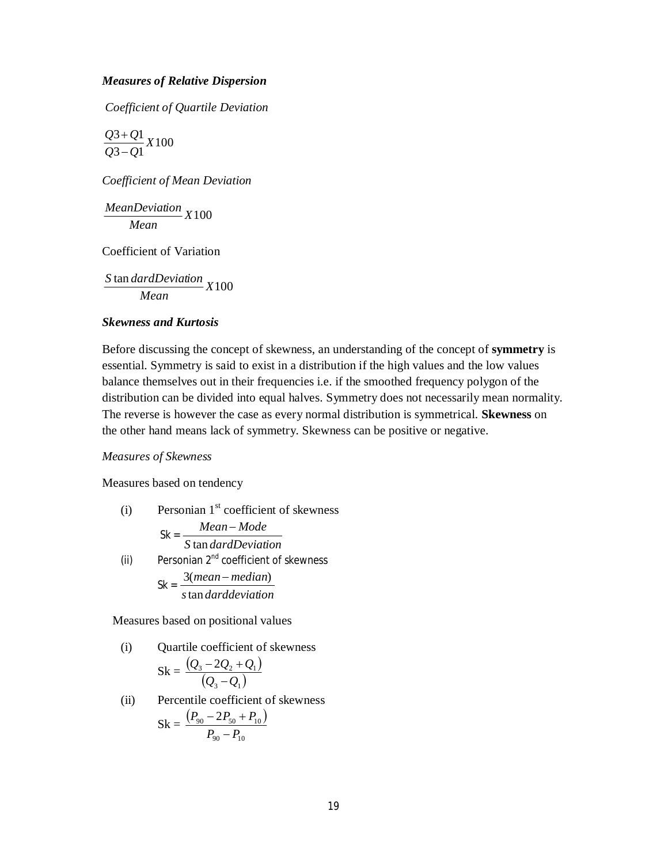#### *Measures of Relative Dispersion*

*Coefficient of Quartile Deviation* 

$$
\frac{Q3+Q1}{Q3-Q1}X100
$$

*Coefficient of Mean Deviation*

$$
\frac{MeanDeviation}{Mean} X100
$$

Coefficient of Variation

 $\frac{\tan\frac{d}{d}}{X}$  (100 *Mean S dardDeviation*

#### *Skewness and Kurtosis*

Before discussing the concept of skewness, an understanding of the concept of **symmetry** is essential. Symmetry is said to exist in a distribution if the high values and the low values balance themselves out in their frequencies i.e. if the smoothed frequency polygon of the distribution can be divided into equal halves. Symmetry does not necessarily mean normality. The reverse is however the case as every normal distribution is symmetrical. **Skewness** on the other hand means lack of symmetry. Skewness can be positive or negative.

#### *Measures of Skewness*

Measures based on tendency

(i) Personian  $1<sup>st</sup>$  coefficient of skewness Sk = *S dardDeviation Mean Mode* tan -(ii) Personian  $2^{nd}$  coefficient of skewness  $Sk = \frac{3(mean - median)}{1 + k}$ 

*s darddeviation* tan

Measures based on positional values

(i) Quartile coefficient of skewness  

$$
Sk = \frac{(Q_3 - 2Q_2 + Q_1)}{(Q_3 - Q_1)}
$$

(ii) Percentile coefficient of skewness

$$
Sk = \frac{(P_{90} - 2P_{50} + P_{10})}{P_{90} - P_{10}}
$$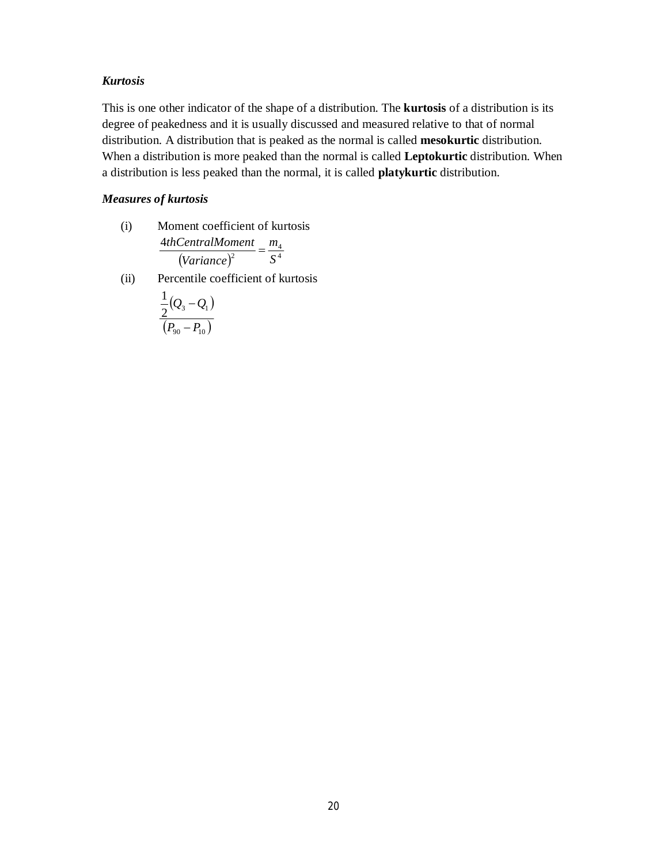#### *Kurtosis*

This is one other indicator of the shape of a distribution. The **kurtosis** of a distribution is its degree of peakedness and it is usually discussed and measured relative to that of normal distribution. A distribution that is peaked as the normal is called **mesokurtic** distribution. When a distribution is more peaked than the normal is called **Leptokurtic** distribution. When a distribution is less peaked than the normal, it is called **platykurtic** distribution.

#### *Measures of kurtosis*

- (i) Moment coefficient of kurtosis  $(Variance)^2$  S<sup>4</sup> 4 2 4 *S m Variance*  $\frac{thCentralMoment}{\sqrt{2}} = \frac{m_4}{\sqrt{2}}$
- (ii) Percentile coefficient of kurtosis

$$
\frac{\frac{1}{2}(Q_3 - Q_1)}{(P_{90} - P_{10})}
$$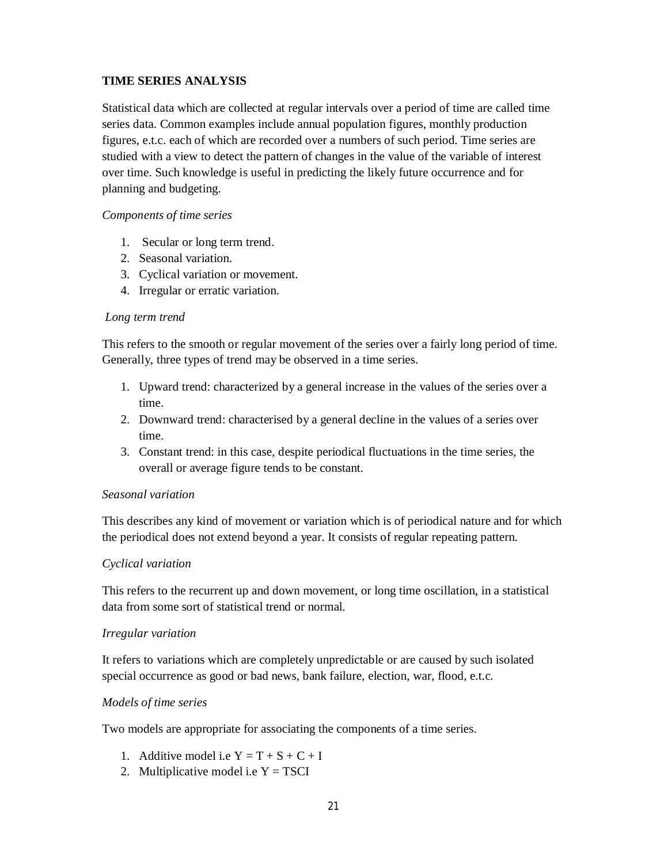## **TIME SERIES ANALYSIS**

Statistical data which are collected at regular intervals over a period of time are called time series data. Common examples include annual population figures, monthly production figures, e.t.c. each of which are recorded over a numbers of such period. Time series are studied with a view to detect the pattern of changes in the value of the variable of interest over time. Such knowledge is useful in predicting the likely future occurrence and for planning and budgeting.

#### *Components of time series*

- 1. Secular or long term trend.
- 2. Seasonal variation.
- 3. Cyclical variation or movement.
- 4. Irregular or erratic variation.

#### *Long term trend*

This refers to the smooth or regular movement of the series over a fairly long period of time. Generally, three types of trend may be observed in a time series.

- 1. Upward trend: characterized by a general increase in the values of the series over a time.
- 2. Downward trend: characterised by a general decline in the values of a series over time.
- 3. Constant trend: in this case, despite periodical fluctuations in the time series, the overall or average figure tends to be constant.

#### *Seasonal variation*

This describes any kind of movement or variation which is of periodical nature and for which the periodical does not extend beyond a year. It consists of regular repeating pattern.

#### *Cyclical variation*

This refers to the recurrent up and down movement, or long time oscillation, in a statistical data from some sort of statistical trend or normal.

#### *Irregular variation*

It refers to variations which are completely unpredictable or are caused by such isolated special occurrence as good or bad news, bank failure, election, war, flood, e.t.c.

#### *Models of time series*

Two models are appropriate for associating the components of a time series.

- 1. Additive model i.e  $Y = T + S + C + I$
- 2. Multiplicative model i.e  $Y = TSCI$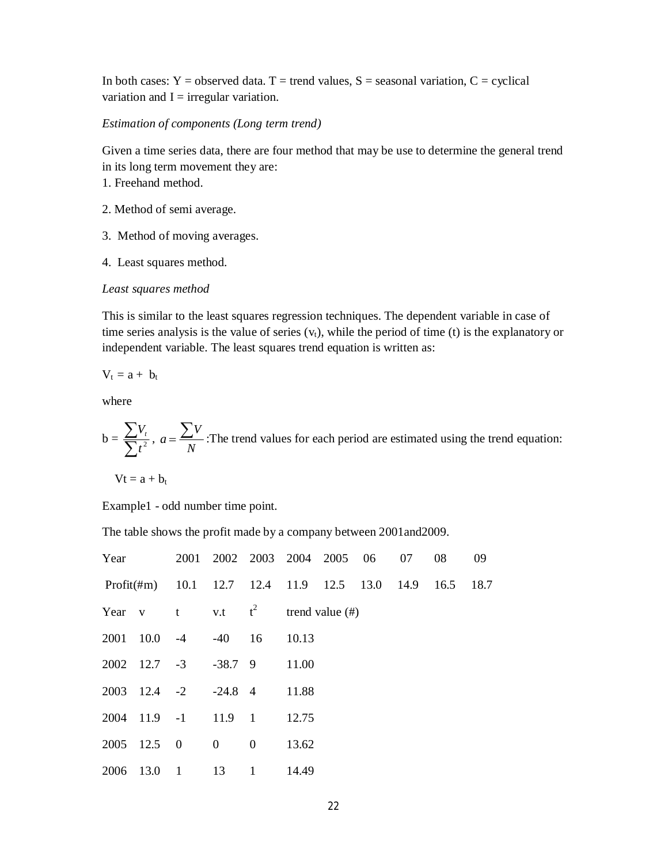In both cases:  $Y =$  observed data. T = trend values, S = seasonal variation, C = cyclical variation and  $I = irregular variation$ .

#### *Estimation of components (Long term trend)*

Given a time series data, there are four method that may be use to determine the general trend in its long term movement they are:

- 1. Freehand method.
- 2. Method of semi average.
- 3. Method of moving averages.
- 4. Least squares method.

#### *Least squares method*

This is similar to the least squares regression techniques. The dependent variable in case of time series analysis is the value of series  $(v<sub>t</sub>)$ , while the period of time (t) is the explanatory or independent variable. The least squares trend equation is written as:

$$
V_t = a + \; b_t
$$

where

b = 
$$
\frac{\sum V_t}{\sum t^2}
$$
,  $a = \frac{\sum V}{N}$ : The trend values for each period are estimated using the trend equation:

 $Vt = a + b_t$ 

Example1 - odd number time point.

The table shows the profit made by a company between 2001and2009.

| Year |                            |                  | 2001 2002 2003 2004 2005 06                             |                |       |  | 07 | 08 | 09 |
|------|----------------------------|------------------|---------------------------------------------------------|----------------|-------|--|----|----|----|
|      |                            |                  | Profit(#m) 10.1 12.7 12.4 11.9 12.5 13.0 14.9 16.5 18.7 |                |       |  |    |    |    |
| Year | $\mathbf{V}$               |                  | t v.t $t^2$ trend value (#)                             |                |       |  |    |    |    |
|      | 2001 10.0 -4               |                  | $-40$ 16                                                |                | 10.13 |  |    |    |    |
|      | $2002 \quad 12.7 \quad -3$ |                  | $-38.7$ 9                                               |                | 11.00 |  |    |    |    |
|      |                            | $2003$ 12.4 $-2$ | $-24.8$ 4                                               |                | 11.88 |  |    |    |    |
|      |                            |                  | 2004 11.9 -1 11.9 1                                     |                | 12.75 |  |    |    |    |
|      | 2005 12.5 0                |                  | $\overline{0}$                                          | $\overline{0}$ | 13.62 |  |    |    |    |
|      | 2006 13.0 1                |                  | 13                                                      | -1             | 14.49 |  |    |    |    |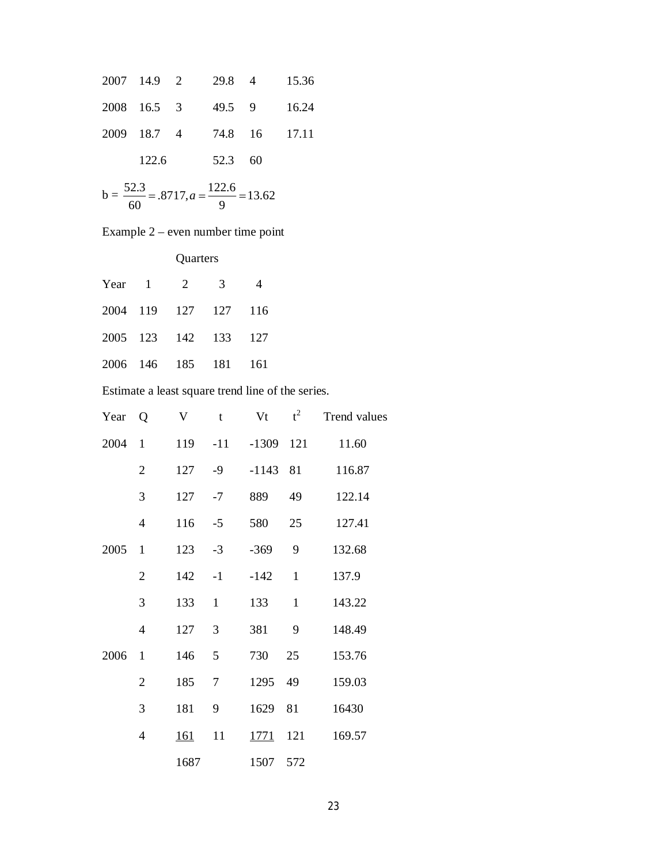|       |             |         |                           | 2007 14.9 2 29.8 4 15.36 |
|-------|-------------|---------|---------------------------|--------------------------|
|       | 2008 16.5 3 |         | 49.5 9 16.24              |                          |
|       |             |         | 2009 18.7 4 74.8 16 17.11 |                          |
| 122.6 |             | 52.3 60 |                           |                          |

$$
b = \frac{52.3}{60} = .8717, a = \frac{122.6}{9} = 13.62
$$

Example 2 – even number time point

**Quarters** 

|  | Year $1 \t 2 \t 3$   |  |
|--|----------------------|--|
|  | 2004 119 127 127 116 |  |
|  | 2005 123 142 133 127 |  |
|  | 2006 146 185 181 161 |  |

Estimate a least square trend line of the series.

| Year | Q              | V           | $\mathbf t$  | Vt          | $t^2$        | Trend values |
|------|----------------|-------------|--------------|-------------|--------------|--------------|
| 2004 | $\mathbf{1}$   | 119         | $-11$        | $-1309$ 121 |              | 11.60        |
|      | $\mathbf{2}$   | 127         | $-9$         | $-1143$ 81  |              | 116.87       |
|      | 3              | 127         | $-7$         | 889         | 49           | 122.14       |
|      | $\overline{4}$ | 116         | $-5$         | 580         | 25           | 127.41       |
| 2005 | $\mathbf{1}$   | 123         | $-3$         | $-369$      | 9            | 132.68       |
|      | $\overline{2}$ | 142         | $-1$         | $-142$      | $\mathbf{1}$ | 137.9        |
|      | 3              | 133         | $\mathbf{1}$ | 133         | $\mathbf{1}$ | 143.22       |
|      | $\overline{4}$ | 127         | 3            | 381         | 9            | 148.49       |
| 2006 | $\mathbf{1}$   | 146         | 5            | 730         | 25           | 153.76       |
|      | $\overline{2}$ | 185         | 7            | 1295        | 49           | 159.03       |
|      | 3              | 181         | 9            | 1629        | 81           | 16430        |
|      | $\overline{4}$ | <u> 161</u> | 11           | <u>1771</u> | 121          | 169.57       |
|      |                | 1687        |              | 1507        | 572          |              |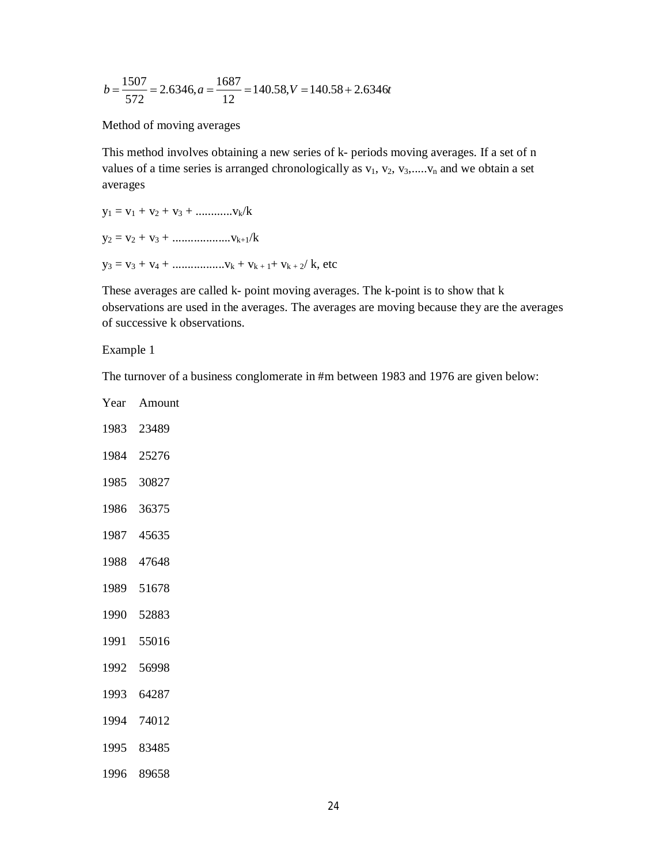$$
b = \frac{1507}{572} = 2.6346, a = \frac{1687}{12} = 140.58, V = 140.58 + 2.6346t
$$

#### Method of moving averages

This method involves obtaining a new series of k- periods moving averages. If a set of n values of a time series is arranged chronologically as  $v_1, v_2, v_3, \dots, v_n$  and we obtain a set averages

$$
y_1 = v_1 + v_2 + v_3 + \dots + v_k / k
$$
  
\n
$$
y_2 = v_2 + v_3 + \dots + v_{k+1} / k
$$
  
\n
$$
y_3 = v_3 + v_4 + \dots + v_{k+1} + v_{k+2} / k, \text{ etc.}
$$

These averages are called k- point moving averages. The k-point is to show that k observations are used in the averages. The averages are moving because they are the averages of successive k observations.

Example 1

The turnover of a business conglomerate in #m between 1983 and 1976 are given below:

| Year | Amount     |
|------|------------|
|      | 1983 23489 |
| 1984 | 25276      |
|      | 1985 30827 |
| 1986 | 36375      |
|      | 1987 45635 |
|      | 1988 47648 |
|      | 1989 51678 |
|      | 1990 52883 |
|      | 1991 55016 |
| 1992 | 56998      |
| 1993 | 64287      |
|      | 1994 74012 |
|      | 1995 83485 |
|      | 1996 89658 |
|      |            |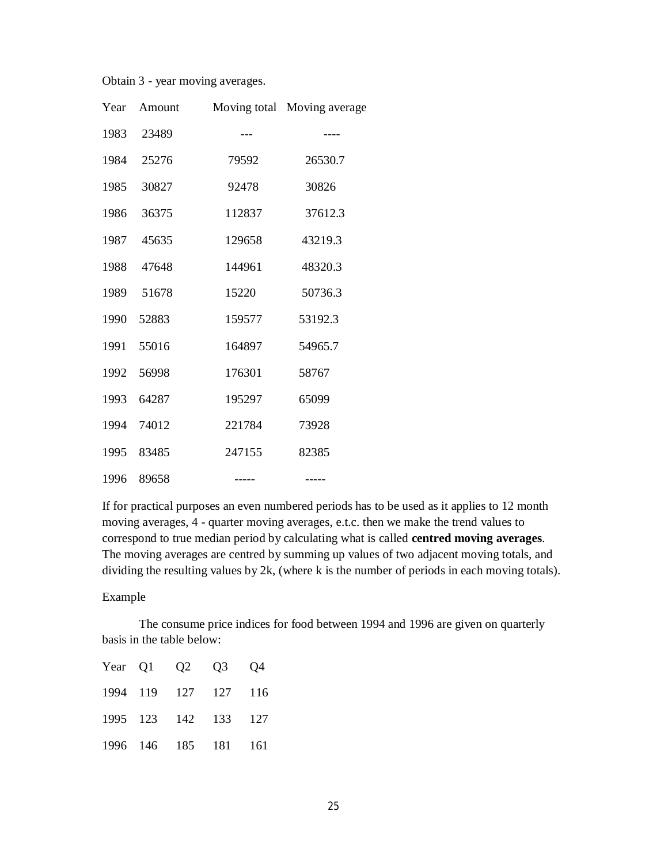Obtain 3 - year moving averages.

| Year | Amount |        | Moving total Moving average |
|------|--------|--------|-----------------------------|
| 1983 | 23489  | ---    | ----                        |
| 1984 | 25276  | 79592  | 26530.7                     |
| 1985 | 30827  | 92478  | 30826                       |
| 1986 | 36375  | 112837 | 37612.3                     |
| 1987 | 45635  | 129658 | 43219.3                     |
| 1988 | 47648  | 144961 | 48320.3                     |
| 1989 | 51678  | 15220  | 50736.3                     |
| 1990 | 52883  | 159577 | 53192.3                     |
| 1991 | 55016  | 164897 | 54965.7                     |
| 1992 | 56998  | 176301 | 58767                       |
| 1993 | 64287  | 195297 | 65099                       |
| 1994 | 74012  | 221784 | 73928                       |
| 1995 | 83485  | 247155 | 82385                       |
| 1996 | 89658  |        |                             |

If for practical purposes an even numbered periods has to be used as it applies to 12 month moving averages, 4 - quarter moving averages, e.t.c. then we make the trend values to correspond to true median period by calculating what is called **centred moving averages**. The moving averages are centred by summing up values of two adjacent moving totals, and dividing the resulting values by 2k, (where k is the number of periods in each moving totals).

#### Example

The consume price indices for food between 1994 and 1996 are given on quarterly basis in the table below:

|  | Year Q1 Q2 Q3 Q4     |  |
|--|----------------------|--|
|  | 1994 119 127 127 116 |  |
|  | 1995 123 142 133 127 |  |
|  | 1996 146 185 181 161 |  |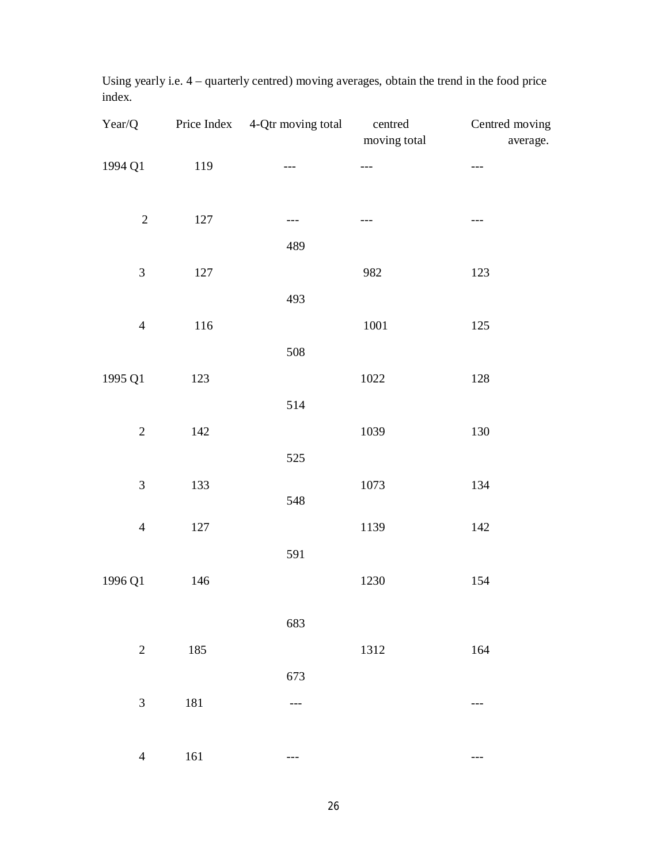| Year/Q                      |         | Price Index 4-Qtr moving total | centred<br>moving total | Centred moving<br>average. |
|-----------------------------|---------|--------------------------------|-------------------------|----------------------------|
| 1994 Q1                     | 119     | ---                            | ---                     | ---                        |
| $\sqrt{2}$                  | 127     | $---$                          | ---                     | ---                        |
|                             |         | 489                            |                         |                            |
| $\mathfrak{Z}$              | 127     |                                | 982                     | 123                        |
|                             |         | 493                            |                         |                            |
| $\overline{4}$              | 116     |                                | $1001\,$                | $125\,$                    |
|                             |         | 508                            |                         |                            |
| 1995 Q1                     | 123     |                                | 1022                    | 128                        |
|                             |         | 514                            |                         |                            |
| $\sqrt{2}$                  | 142     |                                | 1039                    | 130                        |
|                             |         | 525                            |                         |                            |
| $\ensuremath{\mathfrak{Z}}$ | 133     | 548                            | 1073                    | 134                        |
| $\overline{4}$              | $127\,$ |                                | 1139                    | 142                        |
|                             |         | 591                            |                         |                            |
| 1996 Q1                     | 146     |                                | 1230                    | 154                        |
|                             |         | 683                            |                         |                            |
| $\sqrt{2}$                  | 185     |                                | 1312                    | 164                        |
|                             |         | 673                            |                         |                            |
| $\ensuremath{\mathfrak{Z}}$ | 181     |                                |                         |                            |
| $\overline{4}$              | 161     |                                |                         |                            |

Using yearly i.e. 4 – quarterly centred) moving averages, obtain the trend in the food price index.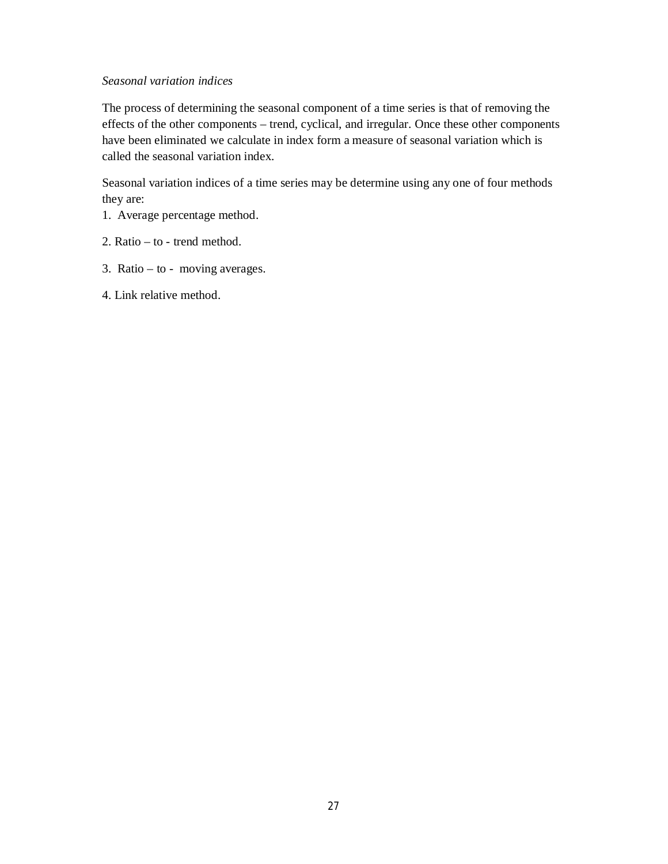#### *Seasonal variation indices*

The process of determining the seasonal component of a time series is that of removing the effects of the other components – trend, cyclical, and irregular. Once these other components have been eliminated we calculate in index form a measure of seasonal variation which is called the seasonal variation index.

Seasonal variation indices of a time series may be determine using any one of four methods they are:

- 1. Average percentage method.
- 2. Ratio to trend method.
- 3. Ratio to moving averages.
- 4. Link relative method.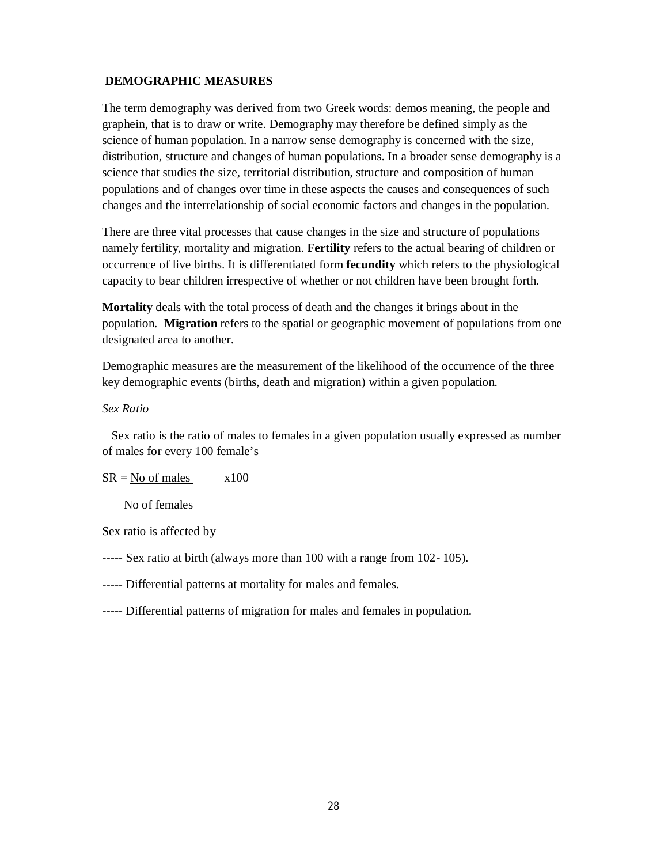#### **DEMOGRAPHIC MEASURES**

The term demography was derived from two Greek words: demos meaning, the people and graphein, that is to draw or write. Demography may therefore be defined simply as the science of human population. In a narrow sense demography is concerned with the size, distribution, structure and changes of human populations. In a broader sense demography is a science that studies the size, territorial distribution, structure and composition of human populations and of changes over time in these aspects the causes and consequences of such changes and the interrelationship of social economic factors and changes in the population.

There are three vital processes that cause changes in the size and structure of populations namely fertility, mortality and migration. **Fertility** refers to the actual bearing of children or occurrence of live births. It is differentiated form **fecundity** which refers to the physiological capacity to bear children irrespective of whether or not children have been brought forth.

**Mortality** deals with the total process of death and the changes it brings about in the population. **Migration** refers to the spatial or geographic movement of populations from one designated area to another.

Demographic measures are the measurement of the likelihood of the occurrence of the three key demographic events (births, death and migration) within a given population.

#### *Sex Ratio*

 Sex ratio is the ratio of males to females in a given population usually expressed as number of males for every 100 female's

#### $SR = No$  of males  $x100$

No of females

Sex ratio is affected by

----- Sex ratio at birth (always more than 100 with a range from 102- 105).

----- Differential patterns at mortality for males and females.

----- Differential patterns of migration for males and females in population.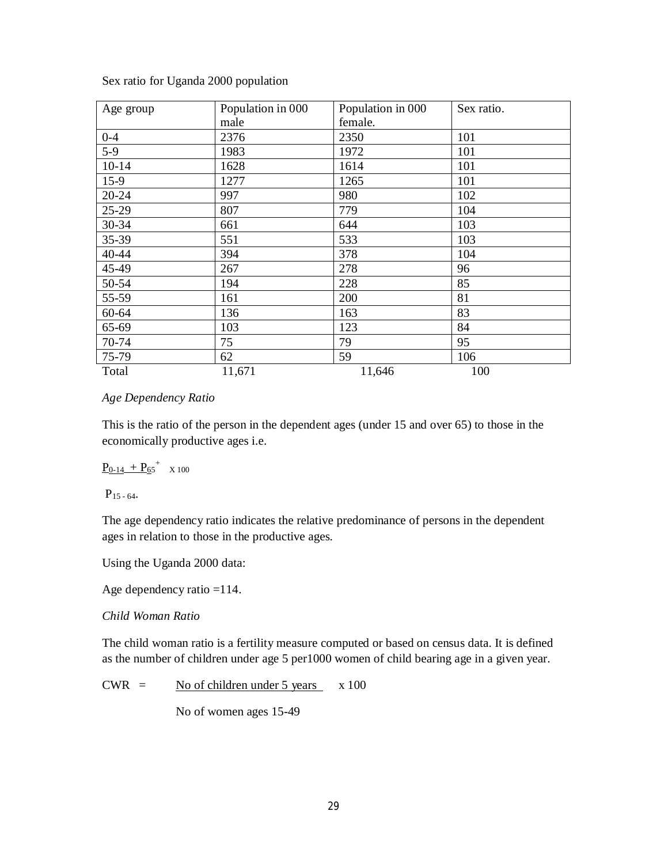| Age group | Population in 000 | Population in 000 | Sex ratio. |
|-----------|-------------------|-------------------|------------|
|           | male              | female.           |            |
| $0 - 4$   | 2376              | 2350              | 101        |
| $5-9$     | 1983              | 1972              | 101        |
| $10 - 14$ | 1628              | 1614              | 101        |
| $15-9$    | 1277              | 1265              | 101        |
| 20-24     | 997               | 980               | 102        |
| 25-29     | 807               | 779               | 104        |
| 30-34     | 661               | 644               | 103        |
| 35-39     | 551               | 533               | 103        |
| 40-44     | 394               | 378               | 104        |
| 45-49     | 267               | 278               | 96         |
| 50-54     | 194               | 228               | 85         |
| 55-59     | 161               | 200               | 81         |
| 60-64     | 136               | 163               | 83         |
| 65-69     | 103               | 123               | 84         |
| 70-74     | 75                | 79                | 95         |
| 75-79     | 62                | 59                | 106        |
| Total     | 11,671            | 11,646            | 100        |

Sex ratio for Uganda 2000 population

#### *Age Dependency Ratio*

This is the ratio of the person in the dependent ages (under 15 and over 65) to those in the economically productive ages i.e.

$$
\underline{P_{0\text{-}14}\text{ }+P_{65}}^+\text{ } \text{ } \text{ }x\text{ }100
$$

 $P_{15 - 64}$ .

The age dependency ratio indicates the relative predominance of persons in the dependent ages in relation to those in the productive ages.

Using the Uganda 2000 data:

Age dependency ratio =114.

#### *Child Woman Ratio*

The child woman ratio is a fertility measure computed or based on census data. It is defined as the number of children under age 5 per1000 women of child bearing age in a given year.

 $CWR =$  No of children under 5 years  $x 100$ 

No of women ages 15-49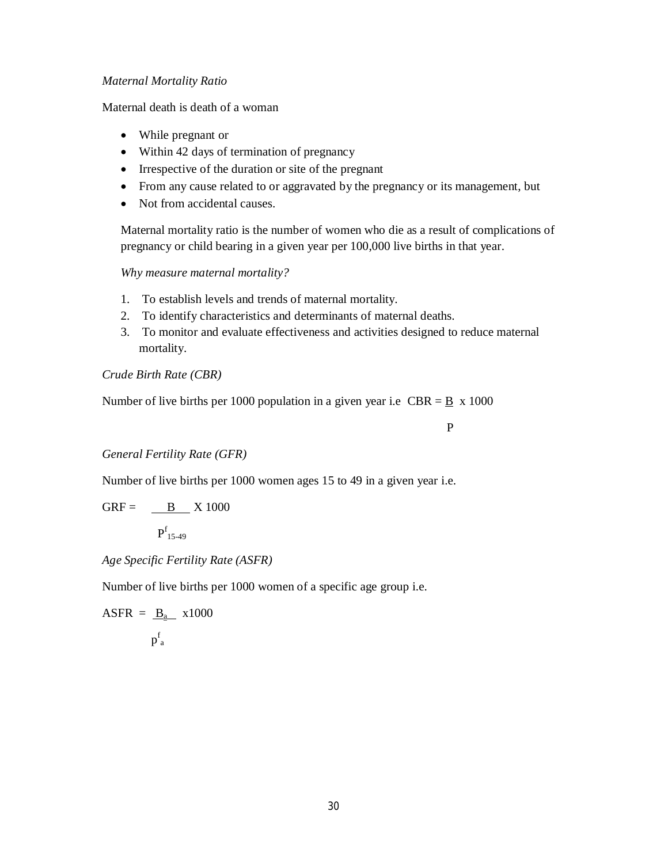#### *Maternal Mortality Ratio*

Maternal death is death of a woman

- While pregnant or
- Within 42 days of termination of pregnancy
- Irrespective of the duration or site of the pregnant
- From any cause related to or aggravated by the pregnancy or its management, but
- Not from accidental causes.

Maternal mortality ratio is the number of women who die as a result of complications of pregnancy or child bearing in a given year per 100,000 live births in that year.

*Why measure maternal mortality?*

- 1. To establish levels and trends of maternal mortality.
- 2. To identify characteristics and determinants of maternal deaths.
- 3. To monitor and evaluate effectiveness and activities designed to reduce maternal mortality.

#### *Crude Birth Rate (CBR)*

Number of live births per 1000 population in a given year i.e  $CBR = \underline{B} \times 1000$ 

P

#### *General Fertility Rate (GFR)*

Number of live births per 1000 women ages 15 to 49 in a given year i.e.

$$
GRF = \underline{B} \quad X \, 1000
$$

 $P_{15-49}^f$ 

*Age Specific Fertility Rate (ASFR)*

Number of live births per 1000 women of a specific age group i.e.

$$
ASFR = \underline{B}_{a} \quad x1000
$$

$$
p_{a}^{f}
$$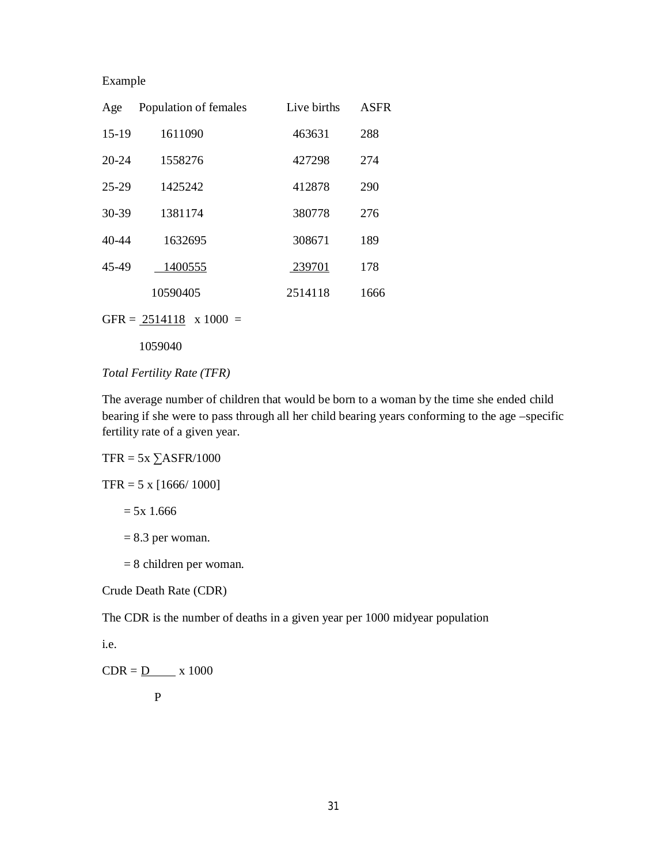| Age     | Population of females | Live births | <b>ASFR</b> |
|---------|-----------------------|-------------|-------------|
| $15-19$ | 1611090               | 463631      | 288         |
| 20-24   | 1558276               | 427298      | 274         |
| 25-29   | 1425242               | 412878      | 290         |
| 30-39   | 1381174               | 380778      | 276         |
| 40-44   | 1632695               | 308671      | 189         |
| 45-49   | 1400555               | 239701      | 178         |
|         | 10590405              | 2514118     | 1666        |
|         |                       |             |             |

GFR =  $\frac{2514118}{ }$  x 1000 =

1059040

#### *Total Fertility Rate (TFR)*

The average number of children that would be born to a woman by the time she ended child bearing if she were to pass through all her child bearing years conforming to the age –specific fertility rate of a given year.

#### $TFR = 5x \ \Sigma ASFR/1000$

 $TFR = 5 \times [1666/1000]$ 

 $= 5x 1.666$ 

 $= 8.3$  per woman.

= 8 children per woman.

Crude Death Rate (CDR)

The CDR is the number of deaths in a given year per 1000 midyear population

i.e.

 $CDR = D$  x 1000

$$
\mathbf{P}^{\mathbf{p}}
$$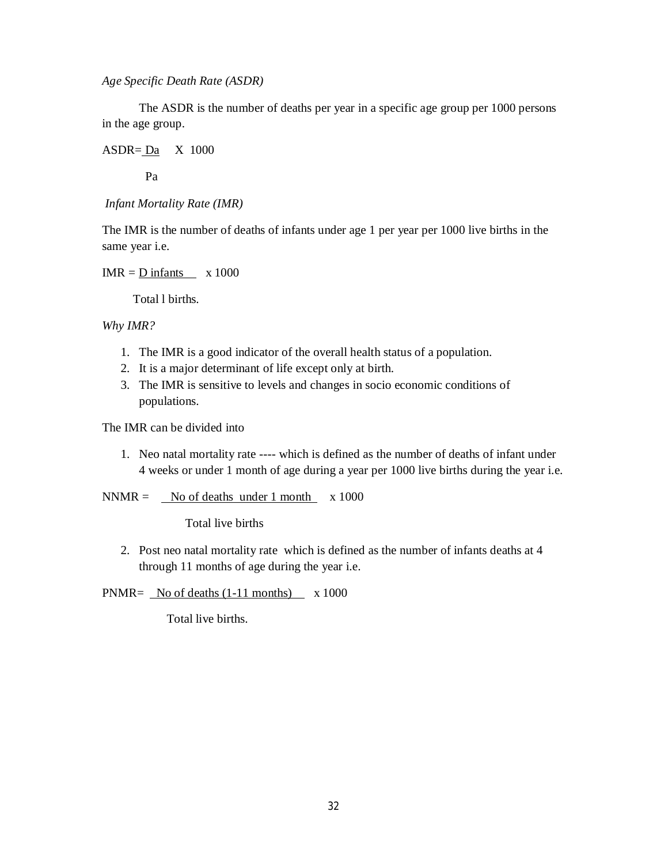*Age Specific Death Rate (ASDR)*

The ASDR is the number of deaths per year in a specific age group per 1000 persons in the age group.

 $ASDR = Da$   $X$  1000

Pa

*Infant Mortality Rate (IMR)*

The IMR is the number of deaths of infants under age 1 per year per 1000 live births in the same year i.e.

 $IMR = D$  infants  $x 1000$ 

Total l births.

*Why IMR?*

- 1. The IMR is a good indicator of the overall health status of a population.
- 2. It is a major determinant of life except only at birth.
- 3. The IMR is sensitive to levels and changes in socio economic conditions of populations.

The IMR can be divided into

1. Neo natal mortality rate ---- which is defined as the number of deaths of infant under 4 weeks or under 1 month of age during a year per 1000 live births during the year i.e.

 $NNMR =$  No of deaths under 1 month  $x 1000$ 

Total live births

2. Post neo natal mortality rate which is defined as the number of infants deaths at 4 through 11 months of age during the year i.e.

PNMR=  $\sqrt{\frac{N_0}{n}}$  No of deaths (1-11 months) x 1000

Total live births.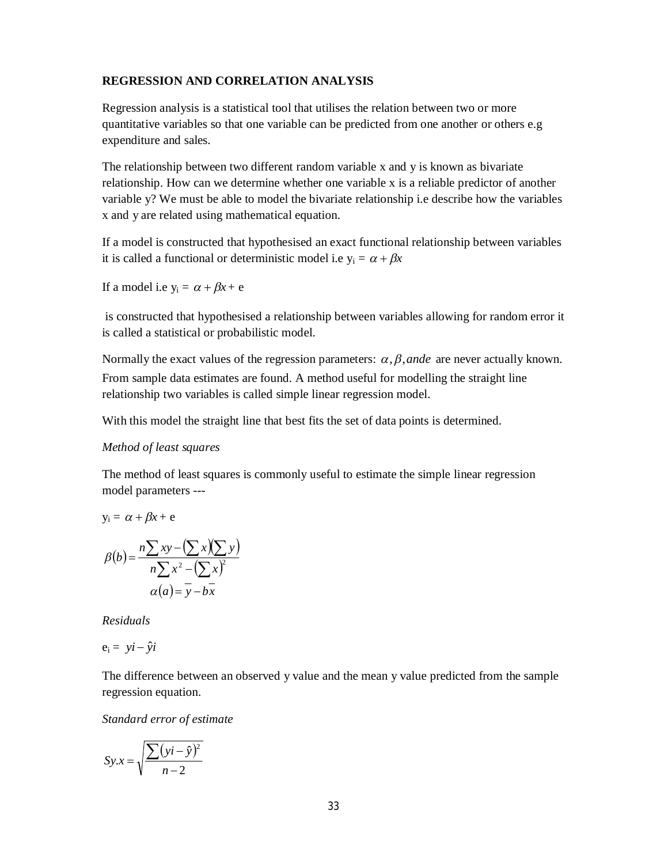#### **REGRESSION AND CORRELATION ANALYSIS**

Regression analysis is a statistical tool that utilises the relation between two or more quantitative variables so that one variable can be predicted from one another or others e.g expenditure and sales.

The relationship between two different random variable x and y is known as bivariate relationship. How can we determine whether one variable x is a reliable predictor of another variable y? We must be able to model the bivariate relationship i.e describe how the variables x and y are related using mathematical equation.

If a model is constructed that hypothesised an exact functional relationship between variables it is called a functional or deterministic model i.e  $y_i = \alpha + \beta x$ 

If a model i.e  $y_i = \alpha + \beta x + e$ 

is constructed that hypothesised a relationship between variables allowing for random error it is called a statistical or probabilistic model.

Normally the exact values of the regression parameters:  $\alpha$ ,  $\beta$ , ande are never actually known. From sample data estimates are found. A method useful for modelling the straight line relationship two variables is called simple linear regression model.

With this model the straight line that best fits the set of data points is determined.

#### *Method of least squares*

The method of least squares is commonly useful to estimate the simple linear regression model parameters ---

$$
y_i = \alpha + \beta x + e
$$

$$
\beta(b) = \frac{n \sum xy - (\sum x)(\sum y)}{n \sum x^2 - (\sum x)^2}
$$

$$
\alpha(a) = y - bx
$$

*Residuals*

$$
e_i = y\mathbf{i} - \hat{y}\mathbf{i}
$$

The difference between an observed y value and the mean y value predicted from the sample regression equation.

*Standard error of estimate*

$$
Sy.x = \sqrt{\frac{\sum (yi - \hat{y})^2}{n - 2}}
$$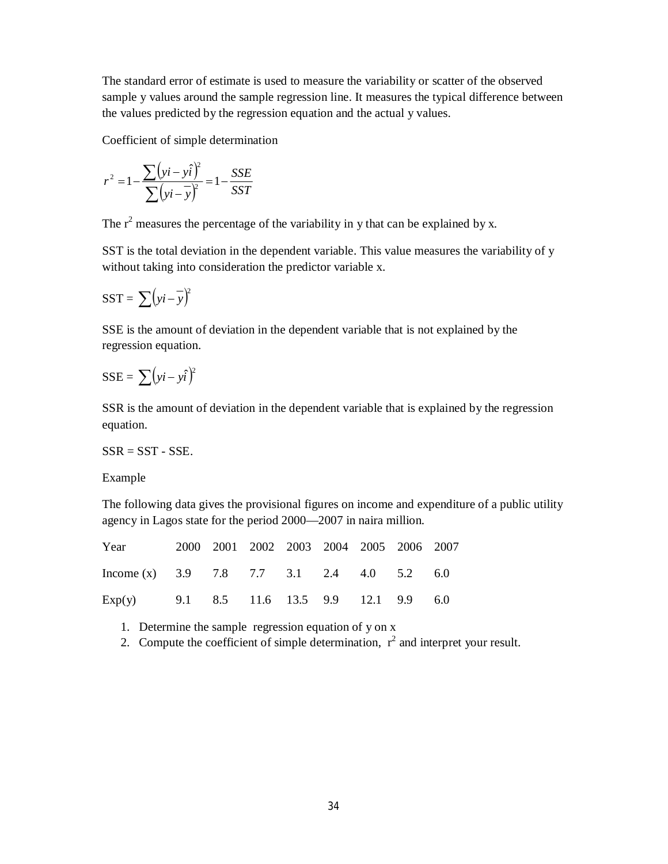The standard error of estimate is used to measure the variability or scatter of the observed sample y values around the sample regression line. It measures the typical difference between the values predicted by the regression equation and the actual y values.

Coefficient of simple determination

$$
r^{2} = 1 - \frac{\sum (yi - y\hat{i})^{2}}{\sum (yi - \overline{y})^{2}} = 1 - \frac{SSE}{SST}
$$

The  $r^2$  measures the percentage of the variability in y that can be explained by x.

SST is the total deviation in the dependent variable. This value measures the variability of y without taking into consideration the predictor variable x.

$$
SST = \sum (yi - \overline{y})^2
$$

SSE is the amount of deviation in the dependent variable that is not explained by the regression equation.

# $SSE = \sum (yi - y\hat{i})^2$

SSR is the amount of deviation in the dependent variable that is explained by the regression equation.

#### $SSR = SST - SSE$ .

Example

The following data gives the provisional figures on income and expenditure of a public utility agency in Lagos state for the period 2000—2007 in naira million.

| Year                                                       |  |  |  | 2000 2001 2002 2003 2004 2005 2006 2007 |  |
|------------------------------------------------------------|--|--|--|-----------------------------------------|--|
| Income (x) $3.9$ $7.8$ $7.7$ $3.1$ $2.4$ $4.0$ $5.2$ $6.0$ |  |  |  |                                         |  |
| Exp(y) 9.1 8.5 11.6 13.5 9.9 12.1 9.9 6.0                  |  |  |  |                                         |  |

1. Determine the sample regression equation of y on x

2. Compute the coefficient of simple determination,  $r^2$  and interpret your result.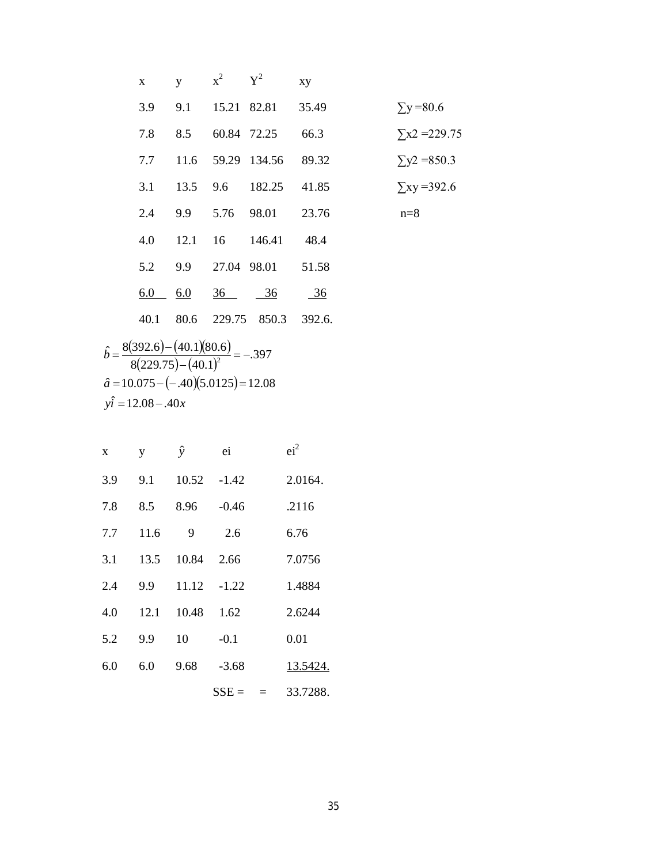| $\mathbf X$ | y      | $x^2$ $Y^2$                     |                          | xy             |                      |
|-------------|--------|---------------------------------|--------------------------|----------------|----------------------|
| 3.9         |        |                                 | 9.1 15.21 82.81 35.49    |                | $\Sigma$ y = 80.6    |
| 7.8         |        | 8.5 60.84 72.25                 |                          | 66.3           | $\Sigma x2 = 229.75$ |
| 7.7         |        |                                 | 11.6 59.29 134.56 89.32  |                | $\Sigma y2 = 850.3$  |
| 3.1         |        |                                 | 13.5 9.6 182.25 41.85    |                | $\Sigma$ xy =392.6   |
| 2.4         |        |                                 | 9.9 5.76 98.01 23.76     |                | $n=8$                |
| 4.0         |        |                                 | 12.1 16 146.41 48.4      |                |                      |
| 5.2         | 9.9    |                                 | 27.04 98.01 51.58        |                |                      |
| 6.0         | $-6.0$ | $\frac{36}{10}$ $\frac{36}{10}$ |                          | $\frac{36}{5}$ |                      |
| 40.1        |        |                                 | 80.6 229.75 850.3 392.6. |                |                      |

$$
\hat{b} = \frac{8(392.6) - (40.1)(80.6)}{8(229.75) - (40.1)^{2}} = -.397
$$
  

$$
\hat{a} = 10.075 - (-.40)(5.0125) = 12.08
$$
  

$$
y\hat{i} = 12.08 - .40x
$$

| X   | y    | ŷ     | ei             | ei <sup>2</sup> |
|-----|------|-------|----------------|-----------------|
| 3.9 | 9.1  | 10.52 | $-1.42$        | 2.0164.         |
| 7.8 | 8.5  | 8.96  | $-0.46$        | .2116           |
| 7.7 | 11.6 | 9     | 2.6            | 6.76            |
| 3.1 | 13.5 | 10.84 | 2.66           | 7.0756          |
| 2.4 | 9.9  | 11.12 | $-1.22$        | 1.4884          |
| 4.0 | 12.1 | 10.48 | 1.62           | 2.6244          |
| 5.2 | 9.9  | 10    | $-0.1$         | 0.01            |
| 6.0 | 6.0  | 9.68  | $-3.68$        | 13.5424.        |
|     |      |       | $SSE =$<br>$=$ | 33.7288.        |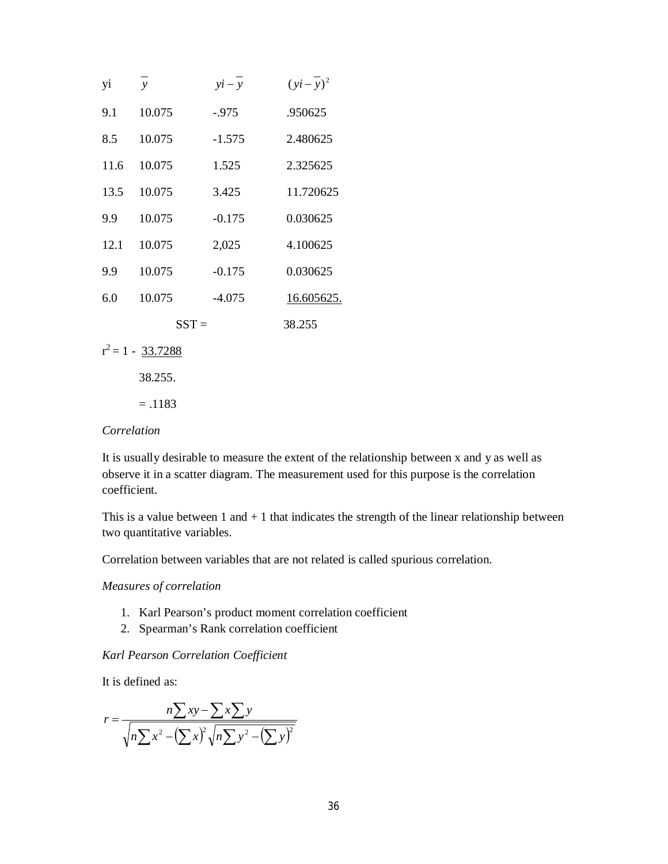| yi   | $\mathbf{y}$ | $yi - y$ | $(yi-\overline{y})^2$ |
|------|--------------|----------|-----------------------|
| 9.1  | 10.075       | -.975    | .950625               |
| 8.5  | 10.075       | $-1.575$ | 2.480625              |
| 11.6 | 10.075       | 1.525    | 2.325625              |
| 13.5 | 10.075       | 3.425    | 11.720625             |
| 9.9  | 10.075       | $-0.175$ | 0.030625              |
| 12.1 | 10.075       | 2,025    | 4.100625              |
| 9.9  | 10.075       | $-0.175$ | 0.030625              |
| 6.0  | 10.075       | $-4.075$ | 16.605625.            |
|      | $SST =$      |          | 38.255                |
|      |              |          |                       |

- $r^2 = 1 \frac{33.7288}{r^2}$ 
	- 38.255.
	- $= .1183$

#### *Correlation*

It is usually desirable to measure the extent of the relationship between x and y as well as observe it in a scatter diagram. The measurement used for this purpose is the correlation coefficient.

This is a value between 1 and  $+1$  that indicates the strength of the linear relationship between two quantitative variables.

Correlation between variables that are not related is called spurious correlation.

*Measures of correlation*

- 1. Karl Pearson's product moment correlation coefficient
- 2. Spearman's Rank correlation coefficient

#### *Karl Pearson Correlation Coefficient*

It is defined as:

$$
r = \frac{n\sum xy - \sum x \sum y}{\sqrt{n\sum x^2 - (\sum x)^2 \sqrt{n\sum y^2 - (\sum y)^2}}}
$$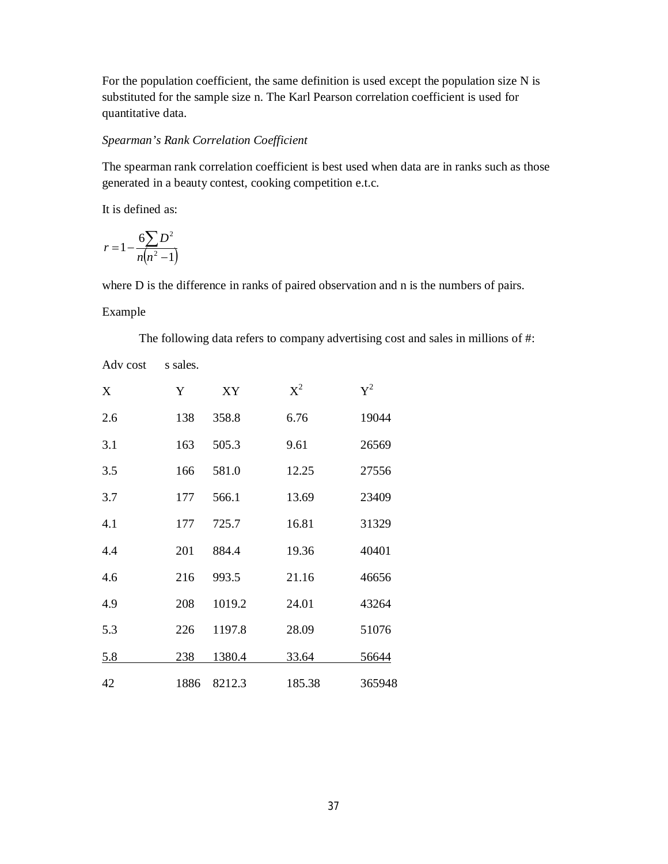For the population coefficient, the same definition is used except the population size N is substituted for the sample size n. The Karl Pearson correlation coefficient is used for quantitative data.

#### *Spearman's Rank Correlation Coefficient*

The spearman rank correlation coefficient is best used when data are in ranks such as those generated in a beauty contest, cooking competition e.t.c.

It is defined as:

$$
r = 1 - \frac{6\sum D^2}{n(n^2 - 1)}
$$

where D is the difference in ranks of paired observation and n is the numbers of pairs.

#### Example

The following data refers to company advertising cost and sales in millions of #:

Adv cost s sales.

| X          | Y    | XY     | $\mathrm{X}^2$ | $Y^2$  |
|------------|------|--------|----------------|--------|
| 2.6        | 138  | 358.8  | 6.76           | 19044  |
| 3.1        | 163  | 505.3  | 9.61           | 26569  |
| 3.5        | 166  | 581.0  | 12.25          | 27556  |
| 3.7        | 177  | 566.1  | 13.69          | 23409  |
| 4.1        | 177  | 725.7  | 16.81          | 31329  |
| 4.4        | 201  | 884.4  | 19.36          | 40401  |
| 4.6        | 216  | 993.5  | 21.16          | 46656  |
| 4.9        | 208  | 1019.2 | 24.01          | 43264  |
| 5.3        | 226  | 1197.8 | 28.09          | 51076  |
| <u>5.8</u> | 238  | 1380.4 | 33.64          | 56644  |
| 42         | 1886 | 8212.3 | 185.38         | 365948 |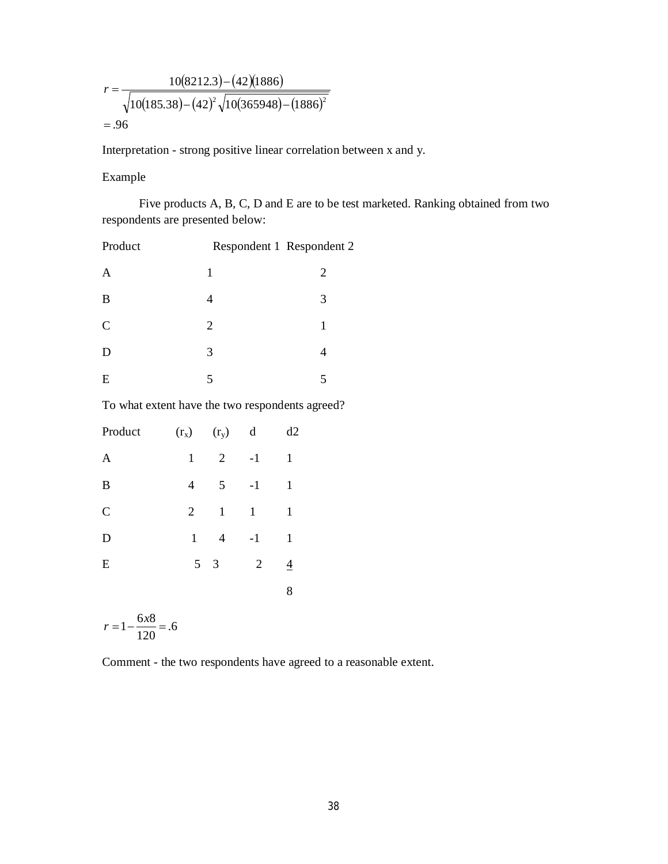$$
r = \frac{10(8212.3) - (42)(1886)}{\sqrt{10(185.38) - (42)^2 \sqrt{10(365948) - (1886)^2}}}
$$
  
= .96

Interpretation - strong positive linear correlation between x and y.

Example

Five products A, B, C, D and E are to be test marketed. Ranking obtained from two respondents are presented below:

| Product       |                | Respondent 1 Respondent 2 |
|---------------|----------------|---------------------------|
| $\mathbf{A}$  | 1              | 2                         |
| B             |                | 3                         |
| $\mathcal{C}$ | $\overline{2}$ | 1                         |
| D             | 3              |                           |
| E             | 5              | 5                         |

To what extent have the two respondents agreed?

| Product       | $(r_{x})$      | $(r_y)$        | d              | d2           |
|---------------|----------------|----------------|----------------|--------------|
| $\mathbf{A}$  | $\mathbf{1}$   | $\overline{2}$ | $-1$           | $\mathbf{1}$ |
| B             | $\overline{4}$ | 5              | $-1$           | 1            |
| $\mathcal{C}$ | $\overline{2}$ | $\mathbf{1}$   | $\mathbf{1}$   | 1            |
| D             | $\mathbf{1}$   | $\overline{4}$ | $-1$           | $\mathbf{1}$ |
| E             | 5 <sup>5</sup> | 3              | $\overline{2}$ | 4            |
|               |                |                |                | 8            |

.6 120  $r = 1 - \frac{6x}{120} =$ 

Comment - the two respondents have agreed to a reasonable extent.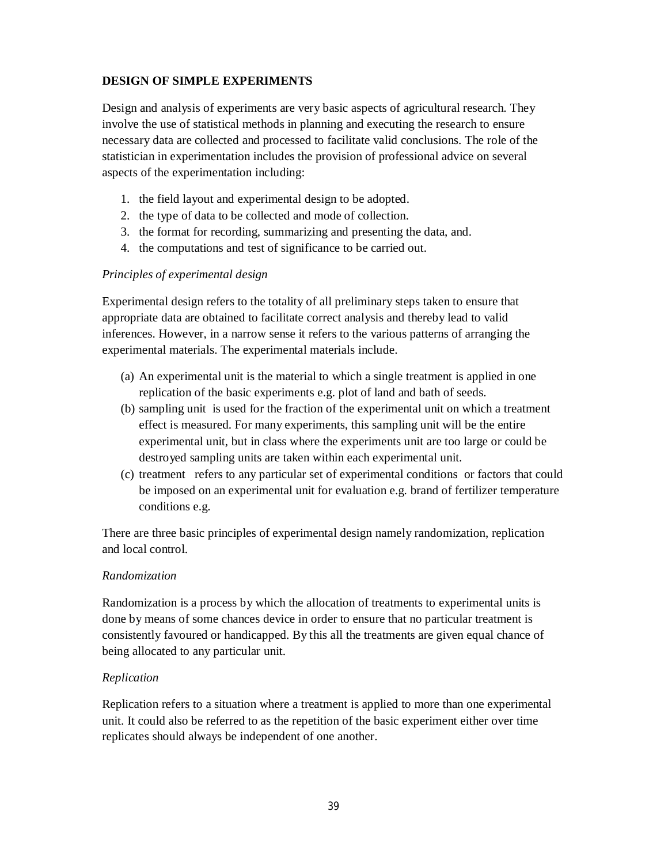## **DESIGN OF SIMPLE EXPERIMENTS**

Design and analysis of experiments are very basic aspects of agricultural research. They involve the use of statistical methods in planning and executing the research to ensure necessary data are collected and processed to facilitate valid conclusions. The role of the statistician in experimentation includes the provision of professional advice on several aspects of the experimentation including:

- 1. the field layout and experimental design to be adopted.
- 2. the type of data to be collected and mode of collection.
- 3. the format for recording, summarizing and presenting the data, and.
- 4. the computations and test of significance to be carried out.

#### *Principles of experimental design*

Experimental design refers to the totality of all preliminary steps taken to ensure that appropriate data are obtained to facilitate correct analysis and thereby lead to valid inferences. However, in a narrow sense it refers to the various patterns of arranging the experimental materials. The experimental materials include.

- (a) An experimental unit is the material to which a single treatment is applied in one replication of the basic experiments e.g. plot of land and bath of seeds.
- (b) sampling unit is used for the fraction of the experimental unit on which a treatment effect is measured. For many experiments, this sampling unit will be the entire experimental unit, but in class where the experiments unit are too large or could be destroyed sampling units are taken within each experimental unit.
- (c) treatment refers to any particular set of experimental conditions or factors that could be imposed on an experimental unit for evaluation e.g. brand of fertilizer temperature conditions e.g.

There are three basic principles of experimental design namely randomization, replication and local control.

#### *Randomization*

Randomization is a process by which the allocation of treatments to experimental units is done by means of some chances device in order to ensure that no particular treatment is consistently favoured or handicapped. By this all the treatments are given equal chance of being allocated to any particular unit.

#### *Replication*

Replication refers to a situation where a treatment is applied to more than one experimental unit. It could also be referred to as the repetition of the basic experiment either over time replicates should always be independent of one another.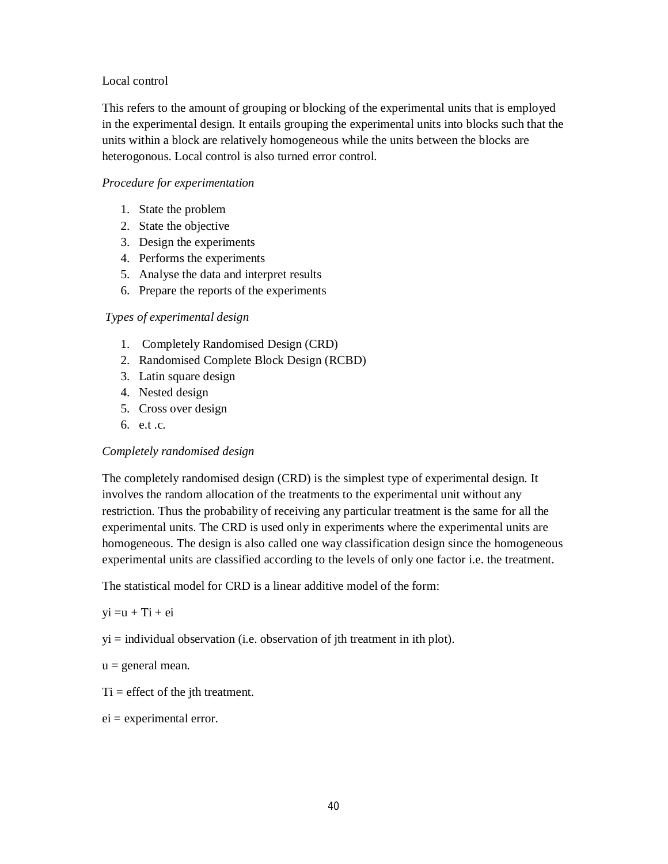#### Local control

This refers to the amount of grouping or blocking of the experimental units that is employed in the experimental design. It entails grouping the experimental units into blocks such that the units within a block are relatively homogeneous while the units between the blocks are heterogonous. Local control is also turned error control.

#### *Procedure for experimentation*

- 1. State the problem
- 2. State the objective
- 3. Design the experiments
- 4. Performs the experiments
- 5. Analyse the data and interpret results
- 6. Prepare the reports of the experiments

#### *Types of experimental design*

- 1. Completely Randomised Design (CRD)
- 2. Randomised Complete Block Design (RCBD)
- 3. Latin square design
- 4. Nested design
- 5. Cross over design
- 6. e.t .c.

#### *Completely randomised design*

The completely randomised design (CRD) is the simplest type of experimental design. It involves the random allocation of the treatments to the experimental unit without any restriction. Thus the probability of receiving any particular treatment is the same for all the experimental units. The CRD is used only in experiments where the experimental units are homogeneous. The design is also called one way classification design since the homogeneous experimental units are classified according to the levels of only one factor i.e. the treatment.

The statistical model for CRD is a linear additive model of the form:

 $yi = u + Ti + ei$ 

 $yi = individual observation (i.e. observation of jth treatment in ith plot).$ 

- $u =$  general mean.
- $Ti =$  effect of the jth treatment.
- $ei =$  experimental error.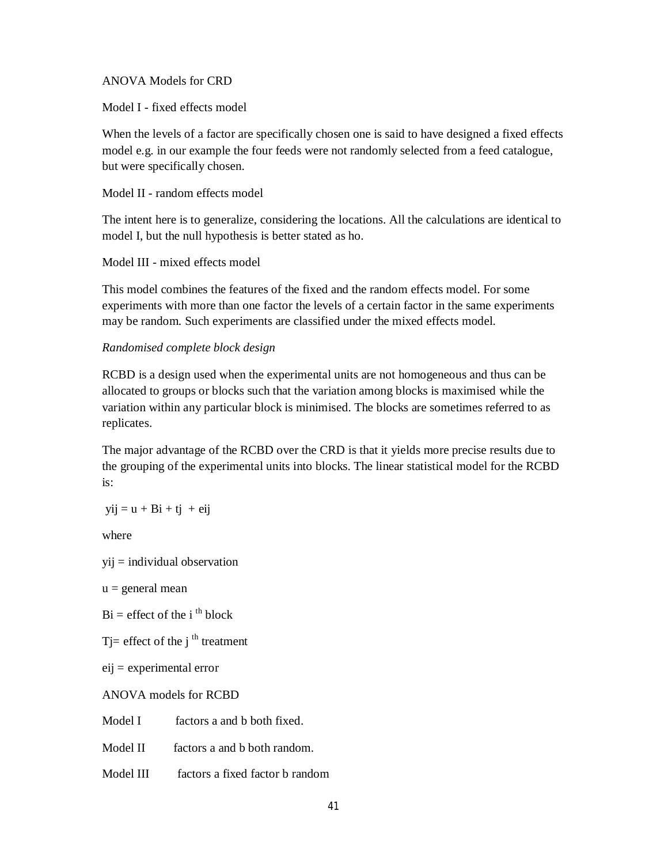#### ANOVA Models for CRD

Model I - fixed effects model

When the levels of a factor are specifically chosen one is said to have designed a fixed effects model e.g. in our example the four feeds were not randomly selected from a feed catalogue, but were specifically chosen.

Model II - random effects model

The intent here is to generalize, considering the locations. All the calculations are identical to model I, but the null hypothesis is better stated as ho.

#### Model III - mixed effects model

This model combines the features of the fixed and the random effects model. For some experiments with more than one factor the levels of a certain factor in the same experiments may be random. Such experiments are classified under the mixed effects model.

#### *Randomised complete block design*

RCBD is a design used when the experimental units are not homogeneous and thus can be allocated to groups or blocks such that the variation among blocks is maximised while the variation within any particular block is minimised. The blocks are sometimes referred to as replicates.

The major advantage of the RCBD over the CRD is that it yields more precise results due to the grouping of the experimental units into blocks. The linear statistical model for the RCBD is:

 $yij = u + Bi + tj + eij$ 

where

```
yij = individual observation
```
 $u =$  general mean

 $Bi = effect of the i<sup>th</sup> block$ 

T = effect of the  $j<sup>th</sup>$  treatment

eij = experimental error

ANOVA models for RCBD

Model I factors a and b both fixed.

Model II factors a and b both random.

Model III factors a fixed factor b random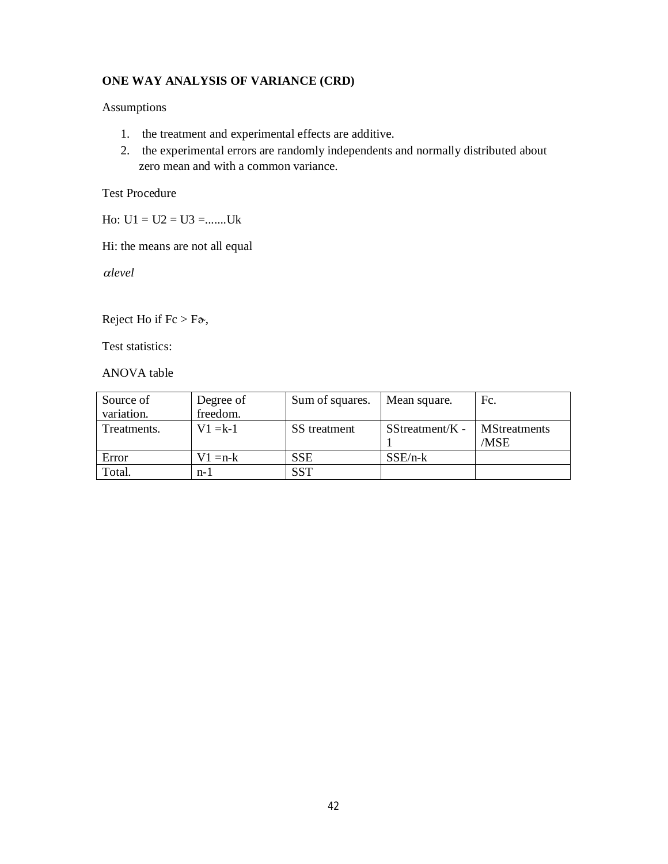## **ONE WAY ANALYSIS OF VARIANCE (CRD)**

#### Assumptions

- 1. the treatment and experimental effects are additive.
- 2. the experimental errors are randomly independents and normally distributed about zero mean and with a common variance.

### Test Procedure

Ho:  $U1 = U2 = U3 =$ .......Uk

Hi: the means are not all equal

*level*

Reject Ho if  $Fc > F\mathfrak{d}$ ,

Test statistics:

ANOVA table

| Source of   | Degree of  | Sum of squares. | Mean square.     | Fc.                 |
|-------------|------------|-----------------|------------------|---------------------|
| variation.  | freedom.   |                 |                  |                     |
| Treatments. | $V1 = k-1$ | SS treatment    | $SStreament/K -$ | <b>MStreatments</b> |
|             |            |                 |                  | /MSE                |
| Error       | $V1 = n-k$ | <b>SSE</b>      | $SSE/n-k$        |                     |
| Total.      | n-1        | <b>SST</b>      |                  |                     |